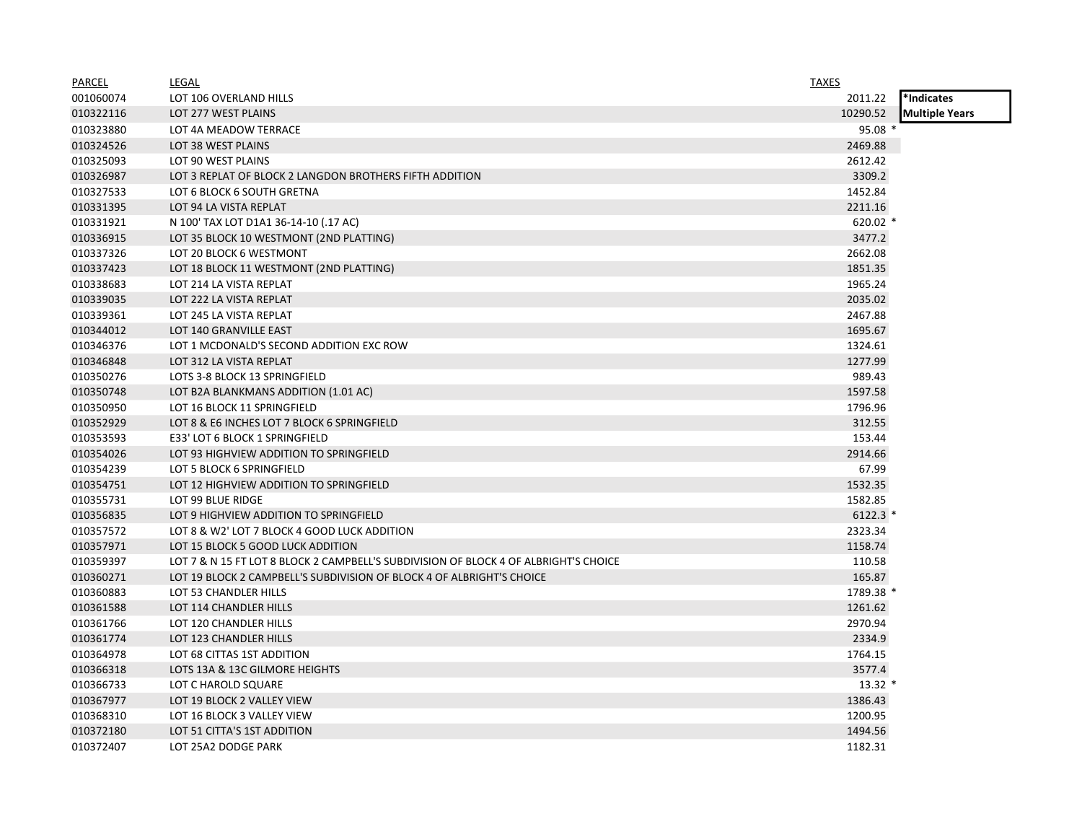| <b>PARCEL</b> | LEGAL                                                                                | <b>TAXES</b> |                       |
|---------------|--------------------------------------------------------------------------------------|--------------|-----------------------|
| 001060074     | LOT 106 OVERLAND HILLS                                                               | 2011.22      | *Indicates            |
| 010322116     | LOT 277 WEST PLAINS                                                                  | 10290.52     | <b>Multiple Years</b> |
| 010323880     | LOT 4A MEADOW TERRACE                                                                | $95.08*$     |                       |
| 010324526     | LOT 38 WEST PLAINS                                                                   | 2469.88      |                       |
| 010325093     | LOT 90 WEST PLAINS                                                                   | 2612.42      |                       |
| 010326987     | LOT 3 REPLAT OF BLOCK 2 LANGDON BROTHERS FIFTH ADDITION                              | 3309.2       |                       |
| 010327533     | LOT 6 BLOCK 6 SOUTH GRETNA                                                           | 1452.84      |                       |
| 010331395     | LOT 94 LA VISTA REPLAT                                                               | 2211.16      |                       |
| 010331921     | N 100' TAX LOT D1A1 36-14-10 (.17 AC)                                                | 620.02 $*$   |                       |
| 010336915     | LOT 35 BLOCK 10 WESTMONT (2ND PLATTING)                                              | 3477.2       |                       |
| 010337326     | LOT 20 BLOCK 6 WESTMONT                                                              | 2662.08      |                       |
| 010337423     | LOT 18 BLOCK 11 WESTMONT (2ND PLATTING)                                              | 1851.35      |                       |
| 010338683     | LOT 214 LA VISTA REPLAT                                                              | 1965.24      |                       |
| 010339035     | LOT 222 LA VISTA REPLAT                                                              | 2035.02      |                       |
| 010339361     | LOT 245 LA VISTA REPLAT                                                              | 2467.88      |                       |
| 010344012     | LOT 140 GRANVILLE EAST                                                               | 1695.67      |                       |
| 010346376     | LOT 1 MCDONALD'S SECOND ADDITION EXC ROW                                             | 1324.61      |                       |
| 010346848     | LOT 312 LA VISTA REPLAT                                                              | 1277.99      |                       |
| 010350276     | LOTS 3-8 BLOCK 13 SPRINGFIELD                                                        | 989.43       |                       |
| 010350748     | LOT B2A BLANKMANS ADDITION (1.01 AC)                                                 | 1597.58      |                       |
| 010350950     | LOT 16 BLOCK 11 SPRINGFIELD                                                          | 1796.96      |                       |
| 010352929     | LOT 8 & E6 INCHES LOT 7 BLOCK 6 SPRINGFIELD                                          | 312.55       |                       |
| 010353593     | E33' LOT 6 BLOCK 1 SPRINGFIELD                                                       | 153.44       |                       |
| 010354026     | LOT 93 HIGHVIEW ADDITION TO SPRINGFIELD                                              | 2914.66      |                       |
| 010354239     | LOT 5 BLOCK 6 SPRINGFIELD                                                            | 67.99        |                       |
| 010354751     | LOT 12 HIGHVIEW ADDITION TO SPRINGFIELD                                              | 1532.35      |                       |
| 010355731     | LOT 99 BLUE RIDGE                                                                    | 1582.85      |                       |
| 010356835     | LOT 9 HIGHVIEW ADDITION TO SPRINGFIELD                                               | $6122.3$ *   |                       |
| 010357572     | LOT 8 & W2' LOT 7 BLOCK 4 GOOD LUCK ADDITION                                         | 2323.34      |                       |
| 010357971     | LOT 15 BLOCK 5 GOOD LUCK ADDITION                                                    | 1158.74      |                       |
| 010359397     | LOT 7 & N 15 FT LOT 8 BLOCK 2 CAMPBELL'S SUBDIVISION OF BLOCK 4 OF ALBRIGHT'S CHOICE | 110.58       |                       |
| 010360271     | LOT 19 BLOCK 2 CAMPBELL'S SUBDIVISION OF BLOCK 4 OF ALBRIGHT'S CHOICE                | 165.87       |                       |
| 010360883     | LOT 53 CHANDLER HILLS                                                                | 1789.38 *    |                       |
| 010361588     | LOT 114 CHANDLER HILLS                                                               | 1261.62      |                       |
| 010361766     | LOT 120 CHANDLER HILLS                                                               | 2970.94      |                       |
| 010361774     | LOT 123 CHANDLER HILLS                                                               | 2334.9       |                       |
| 010364978     | LOT 68 CITTAS 1ST ADDITION                                                           | 1764.15      |                       |
| 010366318     | LOTS 13A & 13C GILMORE HEIGHTS                                                       | 3577.4       |                       |
| 010366733     | LOT C HAROLD SQUARE                                                                  | $13.32*$     |                       |
| 010367977     | LOT 19 BLOCK 2 VALLEY VIEW                                                           | 1386.43      |                       |
| 010368310     | LOT 16 BLOCK 3 VALLEY VIEW                                                           | 1200.95      |                       |
| 010372180     | LOT 51 CITTA'S 1ST ADDITION                                                          | 1494.56      |                       |
| 010372407     | LOT 25A2 DODGE PARK                                                                  | 1182.31      |                       |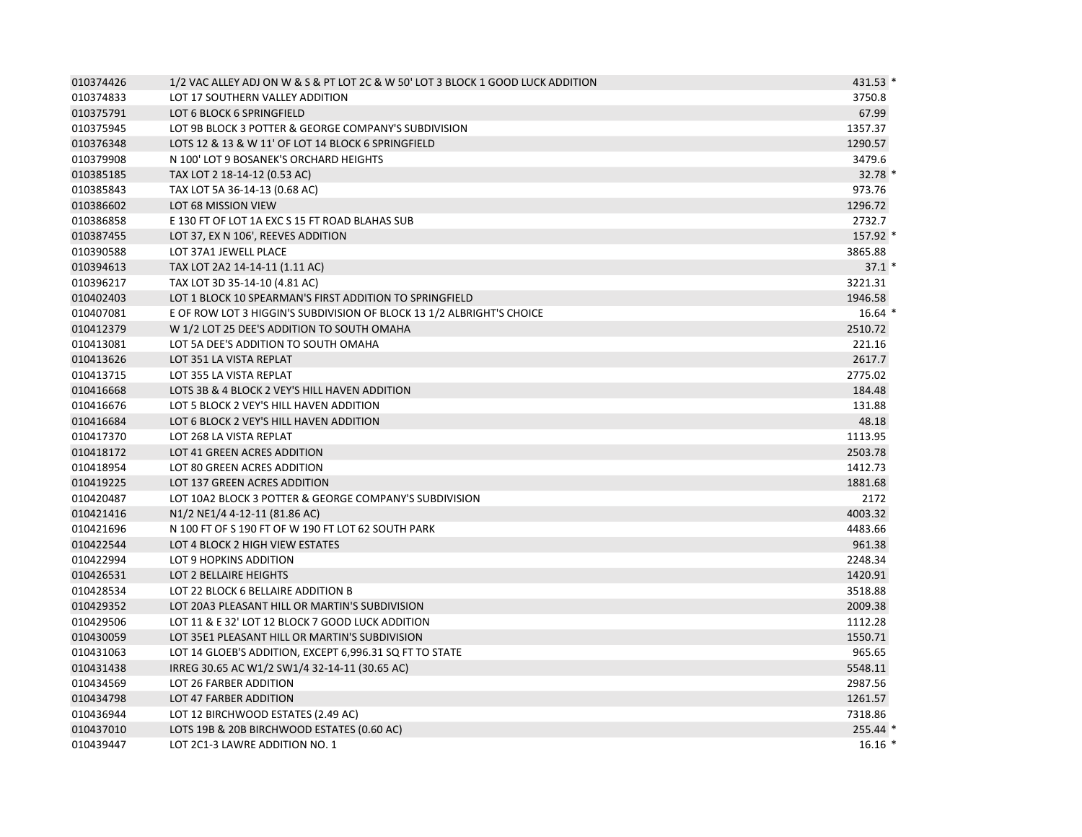| 010374426 | 1/2 VAC ALLEY ADJ ON W & S & PT LOT 2C & W 50' LOT 3 BLOCK 1 GOOD LUCK ADDITION | 431.53 * |
|-----------|---------------------------------------------------------------------------------|----------|
| 010374833 | LOT 17 SOUTHERN VALLEY ADDITION                                                 | 3750.8   |
| 010375791 | LOT 6 BLOCK 6 SPRINGFIELD                                                       | 67.99    |
| 010375945 | LOT 9B BLOCK 3 POTTER & GEORGE COMPANY'S SUBDIVISION                            | 1357.37  |
| 010376348 | LOTS 12 & 13 & W 11' OF LOT 14 BLOCK 6 SPRINGFIELD                              | 1290.57  |
| 010379908 | N 100' LOT 9 BOSANEK'S ORCHARD HEIGHTS                                          | 3479.6   |
| 010385185 | TAX LOT 2 18-14-12 (0.53 AC)                                                    | 32.78 *  |
| 010385843 | TAX LOT 5A 36-14-13 (0.68 AC)                                                   | 973.76   |
| 010386602 | LOT 68 MISSION VIEW                                                             | 1296.72  |
| 010386858 | E 130 FT OF LOT 1A EXC S 15 FT ROAD BLAHAS SUB                                  | 2732.7   |
| 010387455 | LOT 37, EX N 106', REEVES ADDITION                                              | 157.92 * |
| 010390588 | LOT 37A1 JEWELL PLACE                                                           | 3865.88  |
| 010394613 | TAX LOT 2A2 14-14-11 (1.11 AC)                                                  | $37.1*$  |
| 010396217 | TAX LOT 3D 35-14-10 (4.81 AC)                                                   | 3221.31  |
| 010402403 | LOT 1 BLOCK 10 SPEARMAN'S FIRST ADDITION TO SPRINGFIELD                         | 1946.58  |
| 010407081 | E OF ROW LOT 3 HIGGIN'S SUBDIVISION OF BLOCK 13 1/2 ALBRIGHT'S CHOICE           | $16.64*$ |
| 010412379 | W 1/2 LOT 25 DEE'S ADDITION TO SOUTH OMAHA                                      | 2510.72  |
| 010413081 | LOT 5A DEE'S ADDITION TO SOUTH OMAHA                                            | 221.16   |
| 010413626 | LOT 351 LA VISTA REPLAT                                                         | 2617.7   |
| 010413715 | LOT 355 LA VISTA REPLAT                                                         | 2775.02  |
| 010416668 | LOTS 3B & 4 BLOCK 2 VEY'S HILL HAVEN ADDITION                                   | 184.48   |
| 010416676 | LOT 5 BLOCK 2 VEY'S HILL HAVEN ADDITION                                         | 131.88   |
| 010416684 | LOT 6 BLOCK 2 VEY'S HILL HAVEN ADDITION                                         | 48.18    |
| 010417370 | LOT 268 LA VISTA REPLAT                                                         | 1113.95  |
| 010418172 | LOT 41 GREEN ACRES ADDITION                                                     | 2503.78  |
| 010418954 | LOT 80 GREEN ACRES ADDITION                                                     | 1412.73  |
| 010419225 | LOT 137 GREEN ACRES ADDITION                                                    | 1881.68  |
| 010420487 | LOT 10A2 BLOCK 3 POTTER & GEORGE COMPANY'S SUBDIVISION                          | 2172     |
| 010421416 | N <sub>1</sub> /2 N <sub>E<sub>1</sub>/4 4-12-11 (81.86 AC)</sub>               | 4003.32  |
| 010421696 | N 100 FT OF S 190 FT OF W 190 FT LOT 62 SOUTH PARK                              | 4483.66  |
| 010422544 | LOT 4 BLOCK 2 HIGH VIEW ESTATES                                                 | 961.38   |
| 010422994 | LOT 9 HOPKINS ADDITION                                                          | 2248.34  |
| 010426531 | LOT 2 BELLAIRE HEIGHTS                                                          | 1420.91  |
| 010428534 | LOT 22 BLOCK 6 BELLAIRE ADDITION B                                              | 3518.88  |
| 010429352 | LOT 20A3 PLEASANT HILL OR MARTIN'S SUBDIVISION                                  | 2009.38  |
| 010429506 | LOT 11 & E 32' LOT 12 BLOCK 7 GOOD LUCK ADDITION                                | 1112.28  |
| 010430059 | LOT 35E1 PLEASANT HILL OR MARTIN'S SUBDIVISION                                  | 1550.71  |
| 010431063 | LOT 14 GLOEB'S ADDITION, EXCEPT 6,996.31 SQ FT TO STATE                         | 965.65   |
| 010431438 | IRREG 30.65 AC W1/2 SW1/4 32-14-11 (30.65 AC)                                   | 5548.11  |
| 010434569 | LOT 26 FARBER ADDITION                                                          | 2987.56  |
| 010434798 | LOT 47 FARBER ADDITION                                                          | 1261.57  |
| 010436944 | LOT 12 BIRCHWOOD ESTATES (2.49 AC)                                              | 7318.86  |
| 010437010 | LOTS 19B & 20B BIRCHWOOD ESTATES (0.60 AC)                                      | 255.44 * |
| 010439447 | LOT 2C1-3 LAWRE ADDITION NO. 1                                                  | $16.16*$ |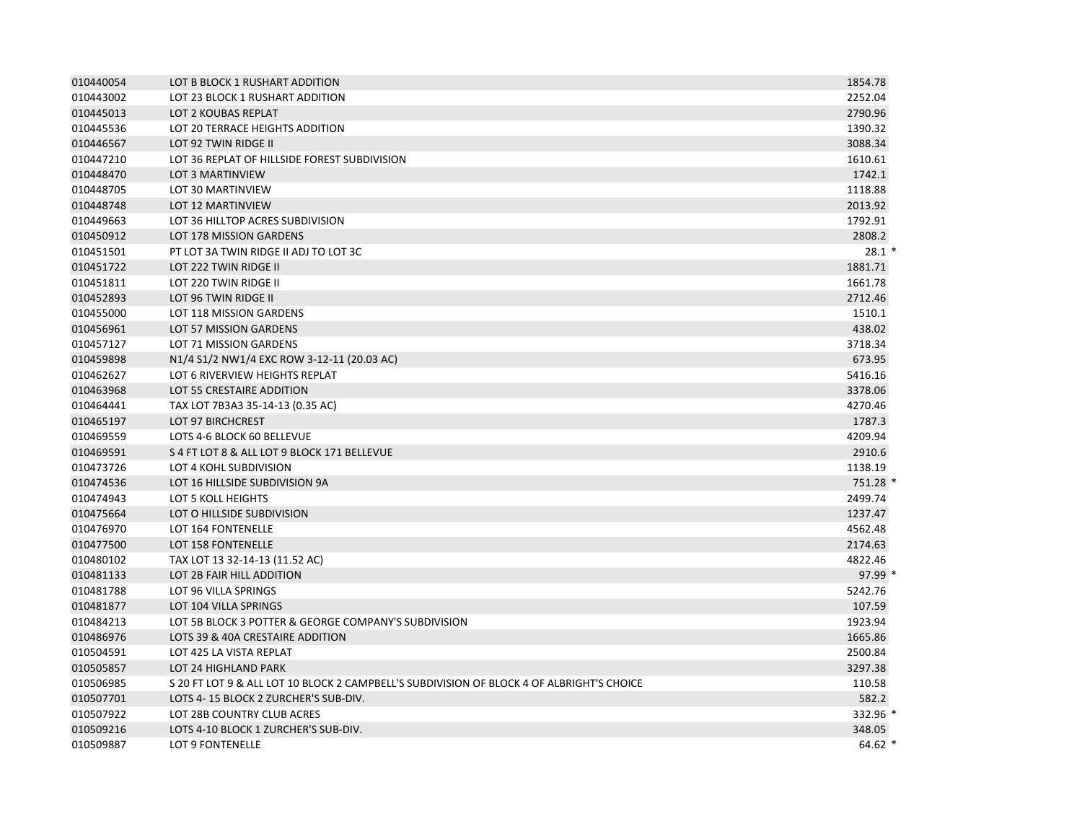| 010440054 | LOT B BLOCK 1 RUSHART ADDITION                                                            | 1854.78  |
|-----------|-------------------------------------------------------------------------------------------|----------|
| 010443002 | LOT 23 BLOCK 1 RUSHART ADDITION                                                           | 2252.04  |
| 010445013 | LOT 2 KOUBAS REPLAT                                                                       | 2790.96  |
| 010445536 | LOT 20 TERRACE HEIGHTS ADDITION                                                           | 1390.32  |
| 010446567 | LOT 92 TWIN RIDGE II                                                                      | 3088.34  |
| 010447210 | LOT 36 REPLAT OF HILLSIDE FOREST SUBDIVISION                                              | 1610.61  |
| 010448470 | LOT 3 MARTINVIEW                                                                          | 1742.1   |
| 010448705 | LOT 30 MARTINVIEW                                                                         | 1118.88  |
| 010448748 | <b>LOT 12 MARTINVIEW</b>                                                                  | 2013.92  |
| 010449663 | LOT 36 HILLTOP ACRES SUBDIVISION                                                          | 1792.91  |
| 010450912 | LOT 178 MISSION GARDENS                                                                   | 2808.2   |
| 010451501 | PT LOT 3A TWIN RIDGE II ADJ TO LOT 3C                                                     | $28.1*$  |
| 010451722 | LOT 222 TWIN RIDGE II                                                                     | 1881.71  |
| 010451811 | LOT 220 TWIN RIDGE II                                                                     | 1661.78  |
| 010452893 | LOT 96 TWIN RIDGE II                                                                      | 2712.46  |
| 010455000 | LOT 118 MISSION GARDENS                                                                   | 1510.1   |
| 010456961 | LOT 57 MISSION GARDENS                                                                    | 438.02   |
| 010457127 | LOT 71 MISSION GARDENS                                                                    | 3718.34  |
| 010459898 | N1/4 S1/2 NW1/4 EXC ROW 3-12-11 (20.03 AC)                                                | 673.95   |
| 010462627 | LOT 6 RIVERVIEW HEIGHTS REPLAT                                                            | 5416.16  |
| 010463968 | LOT 55 CRESTAIRE ADDITION                                                                 | 3378.06  |
| 010464441 | TAX LOT 7B3A3 35-14-13 (0.35 AC)                                                          | 4270.46  |
| 010465197 | <b>LOT 97 BIRCHCREST</b>                                                                  | 1787.3   |
| 010469559 | LOTS 4-6 BLOCK 60 BELLEVUE                                                                | 4209.94  |
| 010469591 | S 4 FT LOT 8 & ALL LOT 9 BLOCK 171 BELLEVUE                                               | 2910.6   |
| 010473726 | LOT 4 KOHL SUBDIVISION                                                                    | 1138.19  |
| 010474536 | LOT 16 HILLSIDE SUBDIVISION 9A                                                            | 751.28 * |
| 010474943 | LOT 5 KOLL HEIGHTS                                                                        | 2499.74  |
| 010475664 | LOT O HILLSIDE SUBDIVISION                                                                | 1237.47  |
| 010476970 | LOT 164 FONTENELLE                                                                        | 4562.48  |
| 010477500 | LOT 158 FONTENELLE                                                                        | 2174.63  |
| 010480102 | TAX LOT 13 32-14-13 (11.52 AC)                                                            | 4822.46  |
| 010481133 | LOT 2B FAIR HILL ADDITION                                                                 | 97.99 *  |
| 010481788 | LOT 96 VILLA SPRINGS                                                                      | 5242.76  |
| 010481877 | LOT 104 VILLA SPRINGS                                                                     | 107.59   |
| 010484213 | LOT 5B BLOCK 3 POTTER & GEORGE COMPANY'S SUBDIVISION                                      | 1923.94  |
| 010486976 | LOTS 39 & 40A CRESTAIRE ADDITION                                                          | 1665.86  |
| 010504591 | LOT 425 LA VISTA REPLAT                                                                   | 2500.84  |
| 010505857 | LOT 24 HIGHLAND PARK                                                                      | 3297.38  |
| 010506985 | S 20 FT LOT 9 & ALL LOT 10 BLOCK 2 CAMPBELL'S SUBDIVISION OF BLOCK 4 OF ALBRIGHT'S CHOICE | 110.58   |
| 010507701 | LOTS 4-15 BLOCK 2 ZURCHER'S SUB-DIV.                                                      | 582.2    |
| 010507922 | LOT 28B COUNTRY CLUB ACRES                                                                | 332.96 * |
| 010509216 | LOTS 4-10 BLOCK 1 ZURCHER'S SUB-DIV.                                                      | 348.05   |
| 010509887 | LOT 9 FONTENELLE                                                                          | $64.62*$ |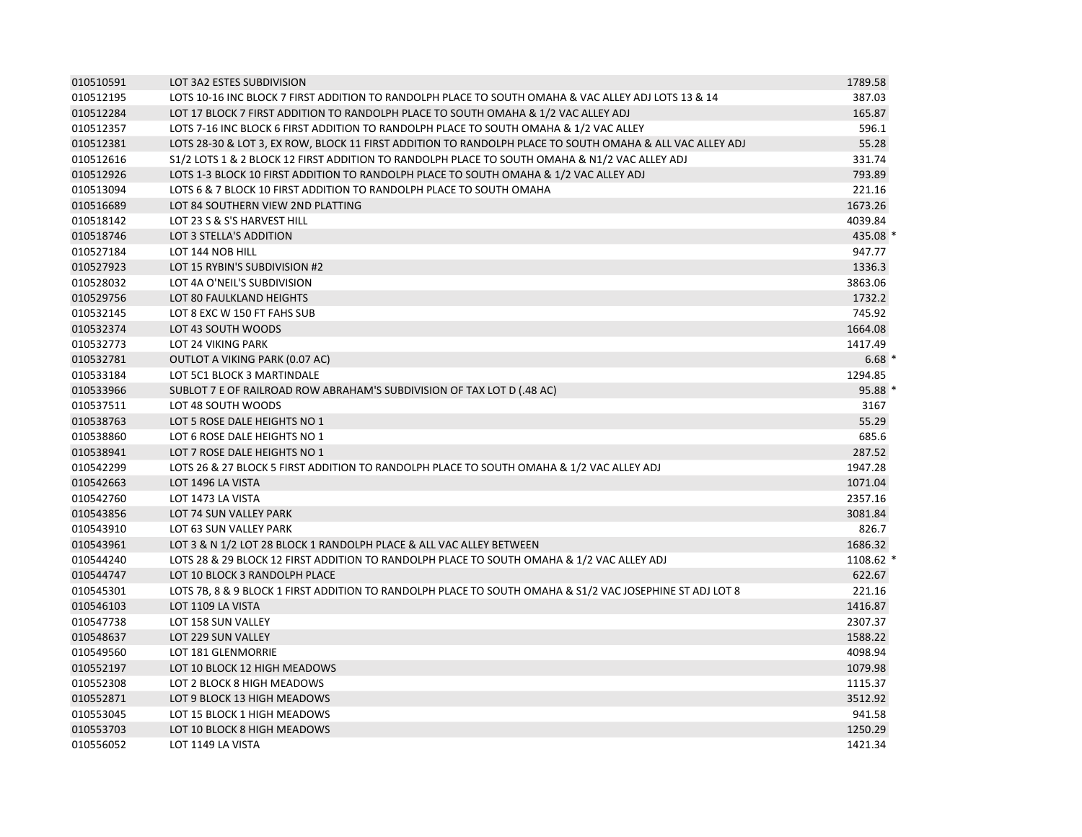| 010510591 | LOT 3A2 ESTES SUBDIVISION                                                                                | 1789.58   |
|-----------|----------------------------------------------------------------------------------------------------------|-----------|
| 010512195 | LOTS 10-16 INC BLOCK 7 FIRST ADDITION TO RANDOLPH PLACE TO SOUTH OMAHA & VAC ALLEY ADJ LOTS 13 & 14      | 387.03    |
| 010512284 | LOT 17 BLOCK 7 FIRST ADDITION TO RANDOLPH PLACE TO SOUTH OMAHA & 1/2 VAC ALLEY ADJ                       | 165.87    |
| 010512357 | LOTS 7-16 INC BLOCK 6 FIRST ADDITION TO RANDOLPH PLACE TO SOUTH OMAHA & 1/2 VAC ALLEY                    | 596.1     |
| 010512381 | LOTS 28-30 & LOT 3, EX ROW, BLOCK 11 FIRST ADDITION TO RANDOLPH PLACE TO SOUTH OMAHA & ALL VAC ALLEY ADJ | 55.28     |
| 010512616 | S1/2 LOTS 1 & 2 BLOCK 12 FIRST ADDITION TO RANDOLPH PLACE TO SOUTH OMAHA & N1/2 VAC ALLEY ADJ            | 331.74    |
| 010512926 | LOTS 1-3 BLOCK 10 FIRST ADDITION TO RANDOLPH PLACE TO SOUTH OMAHA & 1/2 VAC ALLEY ADJ                    | 793.89    |
| 010513094 | LOTS 6 & 7 BLOCK 10 FIRST ADDITION TO RANDOLPH PLACE TO SOUTH OMAHA                                      | 221.16    |
| 010516689 | LOT 84 SOUTHERN VIEW 2ND PLATTING                                                                        | 1673.26   |
| 010518142 | LOT 23 S & S'S HARVEST HILL                                                                              | 4039.84   |
| 010518746 | LOT 3 STELLA'S ADDITION                                                                                  | 435.08 *  |
| 010527184 | LOT 144 NOB HILL                                                                                         | 947.77    |
| 010527923 | LOT 15 RYBIN'S SUBDIVISION #2                                                                            | 1336.3    |
| 010528032 | LOT 4A O'NEIL'S SUBDIVISION                                                                              | 3863.06   |
| 010529756 | LOT 80 FAULKLAND HEIGHTS                                                                                 | 1732.2    |
| 010532145 | LOT 8 EXC W 150 FT FAHS SUB                                                                              | 745.92    |
| 010532374 | LOT 43 SOUTH WOODS                                                                                       | 1664.08   |
| 010532773 | LOT 24 VIKING PARK                                                                                       | 1417.49   |
| 010532781 | OUTLOT A VIKING PARK (0.07 AC)                                                                           | $6.68*$   |
| 010533184 | LOT 5C1 BLOCK 3 MARTINDALE                                                                               | 1294.85   |
| 010533966 | SUBLOT 7 E OF RAILROAD ROW ABRAHAM'S SUBDIVISION OF TAX LOT D (.48 AC)                                   | 95.88 *   |
| 010537511 | LOT 48 SOUTH WOODS                                                                                       | 3167      |
| 010538763 | LOT 5 ROSE DALE HEIGHTS NO 1                                                                             | 55.29     |
| 010538860 | LOT 6 ROSE DALE HEIGHTS NO 1                                                                             | 685.6     |
| 010538941 | LOT 7 ROSE DALE HEIGHTS NO 1                                                                             | 287.52    |
| 010542299 | LOTS 26 & 27 BLOCK 5 FIRST ADDITION TO RANDOLPH PLACE TO SOUTH OMAHA & 1/2 VAC ALLEY ADJ                 | 1947.28   |
| 010542663 | LOT 1496 LA VISTA                                                                                        | 1071.04   |
| 010542760 | LOT 1473 LA VISTA                                                                                        | 2357.16   |
| 010543856 | LOT 74 SUN VALLEY PARK                                                                                   | 3081.84   |
| 010543910 | LOT 63 SUN VALLEY PARK                                                                                   | 826.7     |
| 010543961 | LOT 3 & N 1/2 LOT 28 BLOCK 1 RANDOLPH PLACE & ALL VAC ALLEY BETWEEN                                      | 1686.32   |
| 010544240 | LOTS 28 & 29 BLOCK 12 FIRST ADDITION TO RANDOLPH PLACE TO SOUTH OMAHA & 1/2 VAC ALLEY ADJ                | 1108.62 * |
| 010544747 | LOT 10 BLOCK 3 RANDOLPH PLACE                                                                            | 622.67    |
| 010545301 | LOTS 7B, 8 & 9 BLOCK 1 FIRST ADDITION TO RANDOLPH PLACE TO SOUTH OMAHA & S1/2 VAC JOSEPHINE ST ADJ LOT 8 | 221.16    |
| 010546103 | LOT 1109 LA VISTA                                                                                        | 1416.87   |
| 010547738 | LOT 158 SUN VALLEY                                                                                       | 2307.37   |
| 010548637 | LOT 229 SUN VALLEY                                                                                       | 1588.22   |
| 010549560 | LOT 181 GLENMORRIE                                                                                       | 4098.94   |
| 010552197 | LOT 10 BLOCK 12 HIGH MEADOWS                                                                             | 1079.98   |
| 010552308 | LOT 2 BLOCK 8 HIGH MEADOWS                                                                               | 1115.37   |
| 010552871 | LOT 9 BLOCK 13 HIGH MEADOWS                                                                              | 3512.92   |
| 010553045 | LOT 15 BLOCK 1 HIGH MEADOWS                                                                              | 941.58    |
| 010553703 | LOT 10 BLOCK 8 HIGH MEADOWS                                                                              | 1250.29   |
| 010556052 | LOT 1149 LA VISTA                                                                                        | 1421.34   |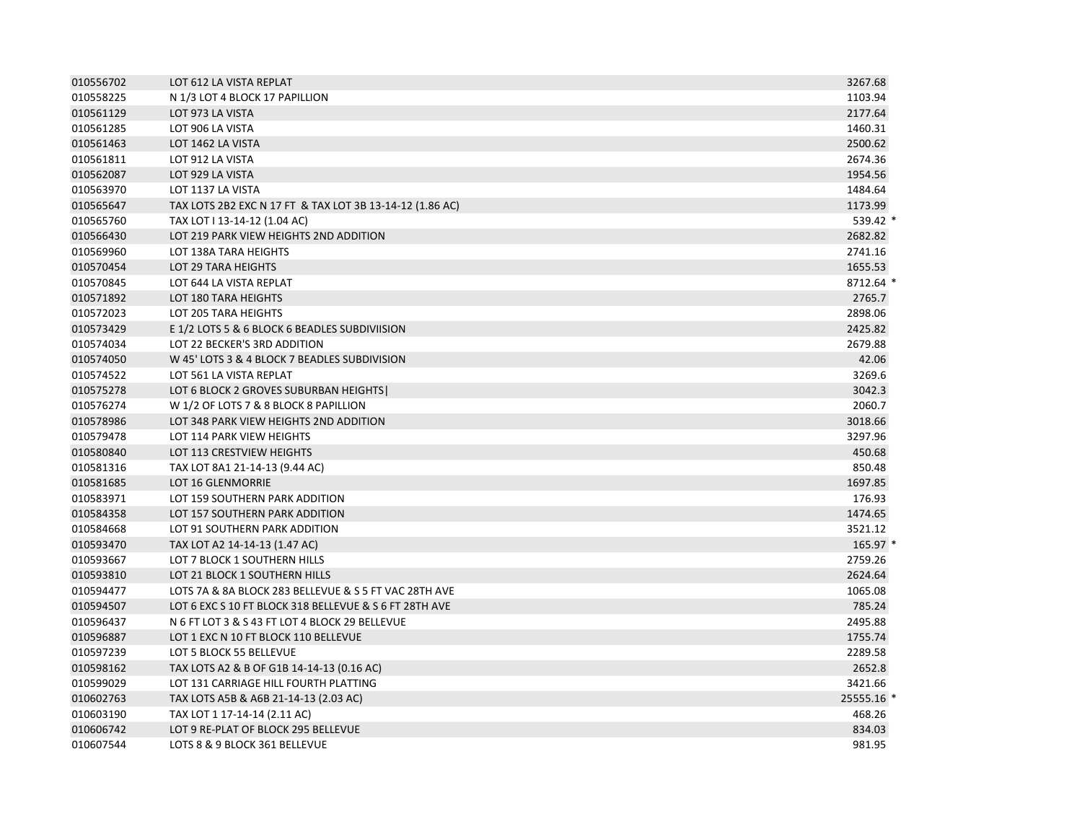| 010556702 | LOT 612 LA VISTA REPLAT                                  | 3267.68    |
|-----------|----------------------------------------------------------|------------|
| 010558225 | N 1/3 LOT 4 BLOCK 17 PAPILLION                           | 1103.94    |
| 010561129 | LOT 973 LA VISTA                                         | 2177.64    |
| 010561285 | LOT 906 LA VISTA                                         | 1460.31    |
| 010561463 | LOT 1462 LA VISTA                                        | 2500.62    |
| 010561811 | LOT 912 LA VISTA                                         | 2674.36    |
| 010562087 | LOT 929 LA VISTA                                         | 1954.56    |
| 010563970 | LOT 1137 LA VISTA                                        | 1484.64    |
| 010565647 | TAX LOTS 2B2 EXC N 17 FT & TAX LOT 3B 13-14-12 (1.86 AC) | 1173.99    |
| 010565760 | TAX LOT I 13-14-12 (1.04 AC)                             | 539.42 *   |
| 010566430 | LOT 219 PARK VIEW HEIGHTS 2ND ADDITION                   | 2682.82    |
| 010569960 | LOT 138A TARA HEIGHTS                                    | 2741.16    |
| 010570454 | LOT 29 TARA HEIGHTS                                      | 1655.53    |
| 010570845 | LOT 644 LA VISTA REPLAT                                  | 8712.64 *  |
| 010571892 | LOT 180 TARA HEIGHTS                                     | 2765.7     |
| 010572023 | LOT 205 TARA HEIGHTS                                     | 2898.06    |
| 010573429 | E 1/2 LOTS 5 & 6 BLOCK 6 BEADLES SUBDIVIISION            | 2425.82    |
| 010574034 | LOT 22 BECKER'S 3RD ADDITION                             | 2679.88    |
| 010574050 | W 45' LOTS 3 & 4 BLOCK 7 BEADLES SUBDIVISION             | 42.06      |
| 010574522 | LOT 561 LA VISTA REPLAT                                  | 3269.6     |
| 010575278 | LOT 6 BLOCK 2 GROVES SUBURBAN HEIGHTS                    | 3042.3     |
| 010576274 | W 1/2 OF LOTS 7 & 8 BLOCK 8 PAPILLION                    | 2060.7     |
| 010578986 | LOT 348 PARK VIEW HEIGHTS 2ND ADDITION                   | 3018.66    |
| 010579478 | LOT 114 PARK VIEW HEIGHTS                                | 3297.96    |
| 010580840 | LOT 113 CRESTVIEW HEIGHTS                                | 450.68     |
| 010581316 | TAX LOT 8A1 21-14-13 (9.44 AC)                           | 850.48     |
| 010581685 | LOT 16 GLENMORRIE                                        | 1697.85    |
| 010583971 | LOT 159 SOUTHERN PARK ADDITION                           | 176.93     |
| 010584358 | LOT 157 SOUTHERN PARK ADDITION                           | 1474.65    |
| 010584668 | LOT 91 SOUTHERN PARK ADDITION                            | 3521.12    |
| 010593470 | TAX LOT A2 14-14-13 (1.47 AC)                            | 165.97 *   |
| 010593667 | LOT 7 BLOCK 1 SOUTHERN HILLS                             | 2759.26    |
| 010593810 | LOT 21 BLOCK 1 SOUTHERN HILLS                            | 2624.64    |
| 010594477 | LOTS 7A & 8A BLOCK 283 BELLEVUE & S 5 FT VAC 28TH AVE    | 1065.08    |
| 010594507 | LOT 6 EXC S 10 FT BLOCK 318 BELLEVUE & S 6 FT 28TH AVE   | 785.24     |
| 010596437 | N 6 FT LOT 3 & S 43 FT LOT 4 BLOCK 29 BELLEVUE           | 2495.88    |
| 010596887 | LOT 1 EXC N 10 FT BLOCK 110 BELLEVUE                     | 1755.74    |
| 010597239 | LOT 5 BLOCK 55 BELLEVUE                                  | 2289.58    |
| 010598162 | TAX LOTS A2 & B OF G1B 14-14-13 (0.16 AC)                | 2652.8     |
| 010599029 | LOT 131 CARRIAGE HILL FOURTH PLATTING                    | 3421.66    |
| 010602763 | TAX LOTS A5B & A6B 21-14-13 (2.03 AC)                    | 25555.16 * |
| 010603190 | TAX LOT 1 17-14-14 (2.11 AC)                             | 468.26     |
| 010606742 | LOT 9 RE-PLAT OF BLOCK 295 BELLEVUE                      | 834.03     |
| 010607544 | LOTS 8 & 9 BLOCK 361 BELLEVUE                            | 981.95     |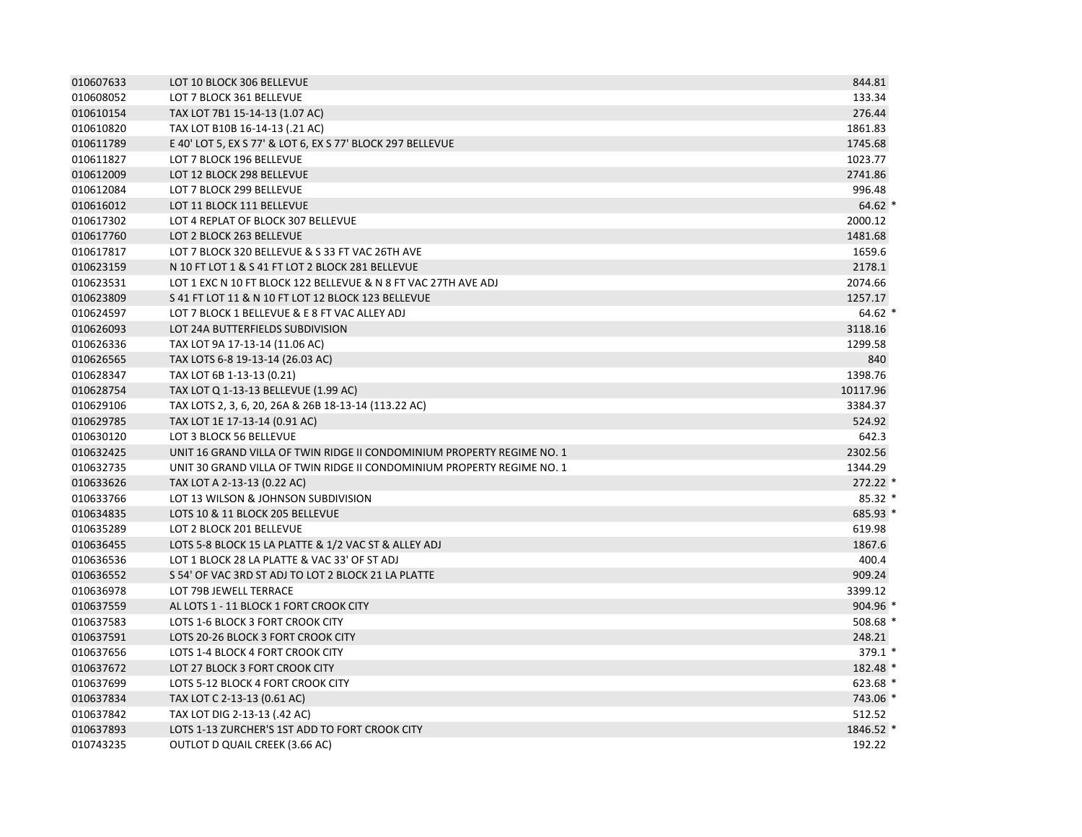| 010607633 | LOT 10 BLOCK 306 BELLEVUE                                              | 844.81    |
|-----------|------------------------------------------------------------------------|-----------|
| 010608052 | LOT 7 BLOCK 361 BELLEVUE                                               | 133.34    |
| 010610154 | TAX LOT 7B1 15-14-13 (1.07 AC)                                         | 276.44    |
| 010610820 | TAX LOT B10B 16-14-13 (.21 AC)                                         | 1861.83   |
| 010611789 | E 40' LOT 5, EX S 77' & LOT 6, EX S 77' BLOCK 297 BELLEVUE             | 1745.68   |
| 010611827 | LOT 7 BLOCK 196 BELLEVUE                                               | 1023.77   |
| 010612009 | LOT 12 BLOCK 298 BELLEVUE                                              | 2741.86   |
| 010612084 | LOT 7 BLOCK 299 BELLEVUE                                               | 996.48    |
| 010616012 | LOT 11 BLOCK 111 BELLEVUE                                              | $64.62*$  |
| 010617302 | LOT 4 REPLAT OF BLOCK 307 BELLEVUE                                     | 2000.12   |
| 010617760 | LOT 2 BLOCK 263 BELLEVUE                                               | 1481.68   |
| 010617817 | LOT 7 BLOCK 320 BELLEVUE & S 33 FT VAC 26TH AVE                        | 1659.6    |
| 010623159 | N 10 FT LOT 1 & S 41 FT LOT 2 BLOCK 281 BELLEVUE                       | 2178.1    |
| 010623531 | LOT 1 EXC N 10 FT BLOCK 122 BELLEVUE & N 8 FT VAC 27TH AVE ADJ         | 2074.66   |
| 010623809 | S 41 FT LOT 11 & N 10 FT LOT 12 BLOCK 123 BELLEVUE                     | 1257.17   |
| 010624597 | LOT 7 BLOCK 1 BELLEVUE & E 8 FT VAC ALLEY ADJ                          | $64.62*$  |
| 010626093 | LOT 24A BUTTERFIELDS SUBDIVISION                                       | 3118.16   |
| 010626336 | TAX LOT 9A 17-13-14 (11.06 AC)                                         | 1299.58   |
| 010626565 | TAX LOTS 6-8 19-13-14 (26.03 AC)                                       | 840       |
| 010628347 | TAX LOT 6B 1-13-13 (0.21)                                              | 1398.76   |
| 010628754 | TAX LOT Q 1-13-13 BELLEVUE (1.99 AC)                                   | 10117.96  |
| 010629106 | TAX LOTS 2, 3, 6, 20, 26A & 26B 18-13-14 (113.22 AC)                   | 3384.37   |
| 010629785 | TAX LOT 1E 17-13-14 (0.91 AC)                                          | 524.92    |
| 010630120 | LOT 3 BLOCK 56 BELLEVUE                                                | 642.3     |
| 010632425 | UNIT 16 GRAND VILLA OF TWIN RIDGE II CONDOMINIUM PROPERTY REGIME NO. 1 | 2302.56   |
| 010632735 | UNIT 30 GRAND VILLA OF TWIN RIDGE II CONDOMINIUM PROPERTY REGIME NO. 1 | 1344.29   |
| 010633626 | TAX LOT A 2-13-13 (0.22 AC)                                            | 272.22 *  |
| 010633766 | LOT 13 WILSON & JOHNSON SUBDIVISION                                    | $85.32*$  |
| 010634835 | LOTS 10 & 11 BLOCK 205 BELLEVUE                                        | 685.93 *  |
| 010635289 | LOT 2 BLOCK 201 BELLEVUE                                               | 619.98    |
| 010636455 | LOTS 5-8 BLOCK 15 LA PLATTE & 1/2 VAC ST & ALLEY ADJ                   | 1867.6    |
| 010636536 | LOT 1 BLOCK 28 LA PLATTE & VAC 33' OF ST ADJ                           | 400.4     |
| 010636552 | S 54' OF VAC 3RD ST ADJ TO LOT 2 BLOCK 21 LA PLATTE                    | 909.24    |
| 010636978 | LOT 79B JEWELL TERRACE                                                 | 3399.12   |
| 010637559 | AL LOTS 1 - 11 BLOCK 1 FORT CROOK CITY                                 | 904.96 *  |
| 010637583 | LOTS 1-6 BLOCK 3 FORT CROOK CITY                                       | 508.68 *  |
| 010637591 | LOTS 20-26 BLOCK 3 FORT CROOK CITY                                     | 248.21    |
| 010637656 | LOTS 1-4 BLOCK 4 FORT CROOK CITY                                       | $379.1*$  |
| 010637672 | LOT 27 BLOCK 3 FORT CROOK CITY                                         | 182.48 *  |
| 010637699 | LOTS 5-12 BLOCK 4 FORT CROOK CITY                                      | 623.68 *  |
| 010637834 | TAX LOT C 2-13-13 (0.61 AC)                                            | 743.06 *  |
| 010637842 | TAX LOT DIG 2-13-13 (.42 AC)                                           | 512.52    |
| 010637893 | LOTS 1-13 ZURCHER'S 1ST ADD TO FORT CROOK CITY                         | 1846.52 * |
| 010743235 | <b>OUTLOT D QUAIL CREEK (3.66 AC)</b>                                  | 192.22    |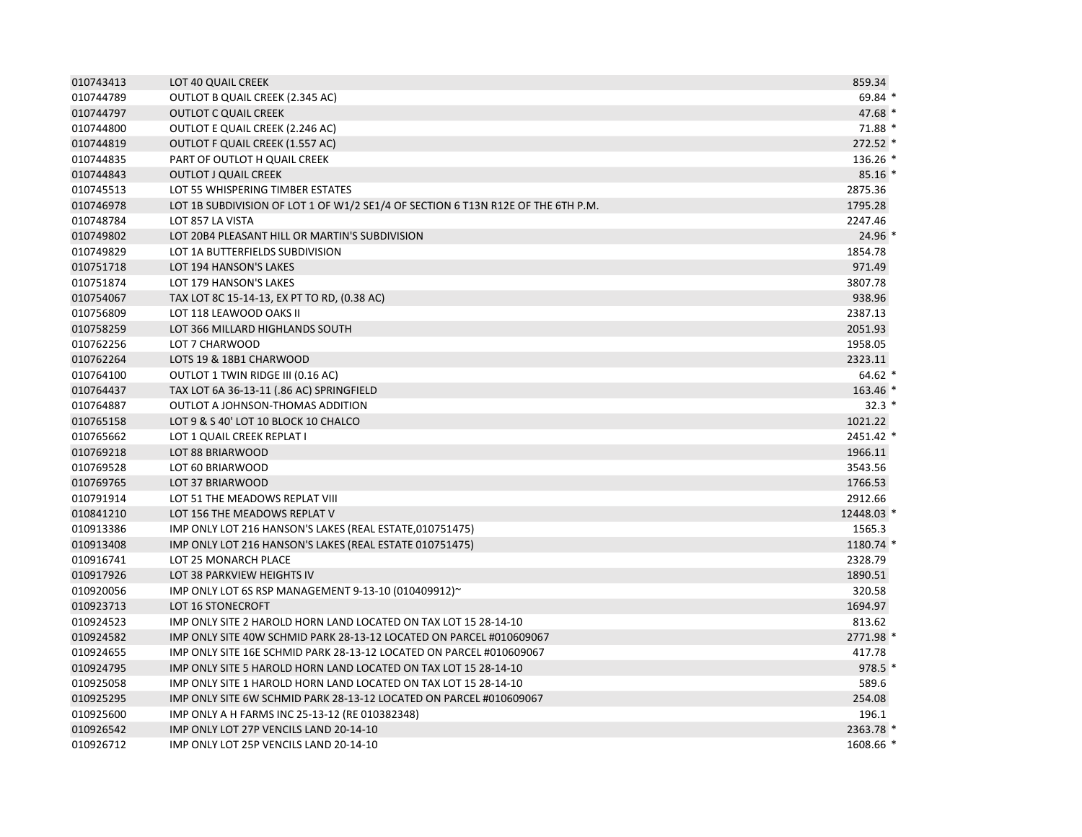| 010743413 | LOT 40 QUAIL CREEK                                                               | 859.34     |
|-----------|----------------------------------------------------------------------------------|------------|
| 010744789 | OUTLOT B QUAIL CREEK (2.345 AC)                                                  | $69.84*$   |
| 010744797 | <b>OUTLOT C QUAIL CREEK</b>                                                      | $47.68*$   |
| 010744800 | OUTLOT E QUAIL CREEK (2.246 AC)                                                  | $71.88*$   |
| 010744819 | OUTLOT F QUAIL CREEK (1.557 AC)                                                  | $272.52*$  |
| 010744835 | PART OF OUTLOT H QUAIL CREEK                                                     | 136.26 *   |
| 010744843 | <b>OUTLOT J QUAIL CREEK</b>                                                      | $85.16*$   |
| 010745513 | LOT 55 WHISPERING TIMBER ESTATES                                                 | 2875.36    |
| 010746978 | LOT 1B SUBDIVISION OF LOT 1 OF W1/2 SE1/4 OF SECTION 6 T13N R12E OF THE 6TH P.M. | 1795.28    |
| 010748784 | LOT 857 LA VISTA                                                                 | 2247.46    |
| 010749802 | LOT 20B4 PLEASANT HILL OR MARTIN'S SUBDIVISION                                   | 24.96 *    |
| 010749829 | LOT 1A BUTTERFIELDS SUBDIVISION                                                  | 1854.78    |
| 010751718 | LOT 194 HANSON'S LAKES                                                           | 971.49     |
| 010751874 | LOT 179 HANSON'S LAKES                                                           | 3807.78    |
| 010754067 | TAX LOT 8C 15-14-13, EX PT TO RD, (0.38 AC)                                      | 938.96     |
| 010756809 | LOT 118 LEAWOOD OAKS II                                                          | 2387.13    |
| 010758259 | LOT 366 MILLARD HIGHLANDS SOUTH                                                  | 2051.93    |
| 010762256 | LOT 7 CHARWOOD                                                                   | 1958.05    |
| 010762264 | LOTS 19 & 18B1 CHARWOOD                                                          | 2323.11    |
| 010764100 | OUTLOT 1 TWIN RIDGE III (0.16 AC)                                                | $64.62*$   |
| 010764437 | TAX LOT 6A 36-13-11 (.86 AC) SPRINGFIELD                                         | 163.46 *   |
| 010764887 | OUTLOT A JOHNSON-THOMAS ADDITION                                                 | $32.3*$    |
| 010765158 | LOT 9 & S 40' LOT 10 BLOCK 10 CHALCO                                             | 1021.22    |
| 010765662 | LOT 1 QUAIL CREEK REPLAT I                                                       | 2451.42 *  |
| 010769218 | LOT 88 BRIARWOOD                                                                 | 1966.11    |
| 010769528 | LOT 60 BRIARWOOD                                                                 | 3543.56    |
| 010769765 | LOT 37 BRIARWOOD                                                                 | 1766.53    |
| 010791914 | LOT 51 THE MEADOWS REPLAT VIII                                                   | 2912.66    |
| 010841210 | LOT 156 THE MEADOWS REPLAT V                                                     | 12448.03 * |
| 010913386 | IMP ONLY LOT 216 HANSON'S LAKES (REAL ESTATE, 010751475)                         | 1565.3     |
| 010913408 | IMP ONLY LOT 216 HANSON'S LAKES (REAL ESTATE 010751475)                          | 1180.74 *  |
| 010916741 | LOT 25 MONARCH PLACE                                                             | 2328.79    |
| 010917926 | LOT 38 PARKVIEW HEIGHTS IV                                                       | 1890.51    |
| 010920056 | IMP ONLY LOT 6S RSP MANAGEMENT 9-13-10 (010409912)~                              | 320.58     |
| 010923713 | LOT 16 STONECROFT                                                                | 1694.97    |
| 010924523 | IMP ONLY SITE 2 HAROLD HORN LAND LOCATED ON TAX LOT 15 28-14-10                  | 813.62     |
| 010924582 | IMP ONLY SITE 40W SCHMID PARK 28-13-12 LOCATED ON PARCEL #010609067              | 2771.98 *  |
| 010924655 | IMP ONLY SITE 16E SCHMID PARK 28-13-12 LOCATED ON PARCEL #010609067              | 417.78     |
| 010924795 | IMP ONLY SITE 5 HAROLD HORN LAND LOCATED ON TAX LOT 15 28-14-10                  | 978.5 *    |
| 010925058 | IMP ONLY SITE 1 HAROLD HORN LAND LOCATED ON TAX LOT 15 28-14-10                  | 589.6      |
| 010925295 | IMP ONLY SITE 6W SCHMID PARK 28-13-12 LOCATED ON PARCEL #010609067               | 254.08     |
| 010925600 | IMP ONLY A H FARMS INC 25-13-12 (RE 010382348)                                   | 196.1      |
| 010926542 | IMP ONLY LOT 27P VENCILS LAND 20-14-10                                           | 2363.78 *  |
| 010926712 | IMP ONLY LOT 25P VENCILS LAND 20-14-10                                           | 1608.66 *  |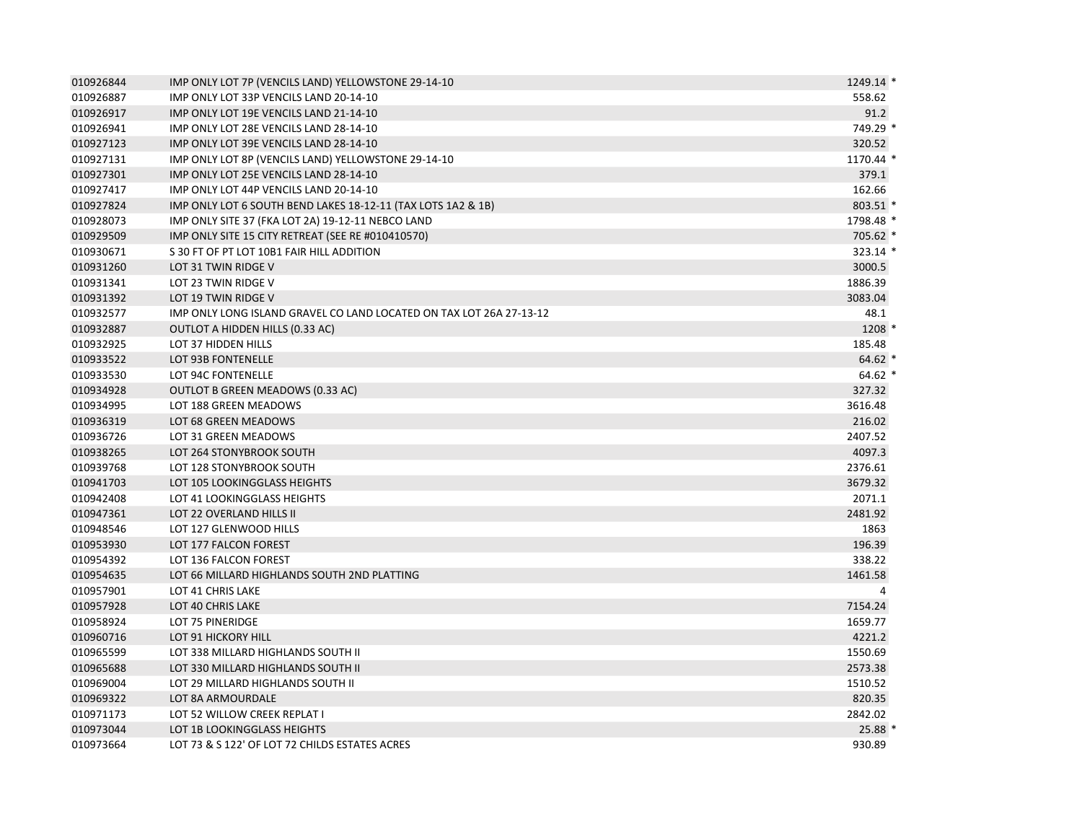| 010926844 | IMP ONLY LOT 7P (VENCILS LAND) YELLOWSTONE 29-14-10                 | 1249.14 * |
|-----------|---------------------------------------------------------------------|-----------|
| 010926887 | IMP ONLY LOT 33P VENCILS LAND 20-14-10                              | 558.62    |
| 010926917 | IMP ONLY LOT 19E VENCILS LAND 21-14-10                              | 91.2      |
| 010926941 | IMP ONLY LOT 28E VENCILS LAND 28-14-10                              | 749.29 *  |
| 010927123 | IMP ONLY LOT 39E VENCILS LAND 28-14-10                              | 320.52    |
| 010927131 | IMP ONLY LOT 8P (VENCILS LAND) YELLOWSTONE 29-14-10                 | 1170.44 * |
| 010927301 | IMP ONLY LOT 25E VENCILS LAND 28-14-10                              | 379.1     |
| 010927417 | IMP ONLY LOT 44P VENCILS LAND 20-14-10                              | 162.66    |
| 010927824 | IMP ONLY LOT 6 SOUTH BEND LAKES 18-12-11 (TAX LOTS 1A2 & 1B)        | 803.51 *  |
| 010928073 | IMP ONLY SITE 37 (FKA LOT 2A) 19-12-11 NEBCO LAND                   | 1798.48 * |
| 010929509 | IMP ONLY SITE 15 CITY RETREAT (SEE RE #010410570)                   | 705.62 *  |
| 010930671 | S 30 FT OF PT LOT 10B1 FAIR HILL ADDITION                           | 323.14 *  |
| 010931260 | LOT 31 TWIN RIDGE V                                                 | 3000.5    |
| 010931341 | LOT 23 TWIN RIDGE V                                                 | 1886.39   |
| 010931392 | LOT 19 TWIN RIDGE V                                                 | 3083.04   |
| 010932577 | IMP ONLY LONG ISLAND GRAVEL CO LAND LOCATED ON TAX LOT 26A 27-13-12 | 48.1      |
| 010932887 | OUTLOT A HIDDEN HILLS (0.33 AC)                                     | 1208 *    |
| 010932925 | LOT 37 HIDDEN HILLS                                                 | 185.48    |
| 010933522 | LOT 93B FONTENELLE                                                  | $64.62*$  |
| 010933530 | LOT 94C FONTENELLE                                                  | $64.62*$  |
| 010934928 | OUTLOT B GREEN MEADOWS (0.33 AC)                                    | 327.32    |
| 010934995 | LOT 188 GREEN MEADOWS                                               | 3616.48   |
| 010936319 | LOT 68 GREEN MEADOWS                                                | 216.02    |
| 010936726 | LOT 31 GREEN MEADOWS                                                | 2407.52   |
| 010938265 | LOT 264 STONYBROOK SOUTH                                            | 4097.3    |
| 010939768 | LOT 128 STONYBROOK SOUTH                                            | 2376.61   |
| 010941703 | LOT 105 LOOKINGGLASS HEIGHTS                                        | 3679.32   |
| 010942408 | LOT 41 LOOKINGGLASS HEIGHTS                                         | 2071.1    |
| 010947361 | LOT 22 OVERLAND HILLS II                                            | 2481.92   |
| 010948546 | LOT 127 GLENWOOD HILLS                                              | 1863      |
| 010953930 | LOT 177 FALCON FOREST                                               | 196.39    |
| 010954392 | LOT 136 FALCON FOREST                                               | 338.22    |
| 010954635 | LOT 66 MILLARD HIGHLANDS SOUTH 2ND PLATTING                         | 1461.58   |
| 010957901 | LOT 41 CHRIS LAKE                                                   | 4         |
| 010957928 | LOT 40 CHRIS LAKE                                                   | 7154.24   |
| 010958924 | LOT 75 PINERIDGE                                                    | 1659.77   |
| 010960716 | LOT 91 HICKORY HILL                                                 | 4221.2    |
| 010965599 | LOT 338 MILLARD HIGHLANDS SOUTH II                                  | 1550.69   |
| 010965688 | LOT 330 MILLARD HIGHLANDS SOUTH II                                  | 2573.38   |
| 010969004 | LOT 29 MILLARD HIGHLANDS SOUTH II                                   | 1510.52   |
| 010969322 | LOT 8A ARMOURDALE                                                   | 820.35    |
| 010971173 | LOT 52 WILLOW CREEK REPLAT I                                        | 2842.02   |
| 010973044 | LOT 1B LOOKINGGLASS HEIGHTS                                         | 25.88 *   |
| 010973664 | LOT 73 & S 122' OF LOT 72 CHILDS ESTATES ACRES                      | 930.89    |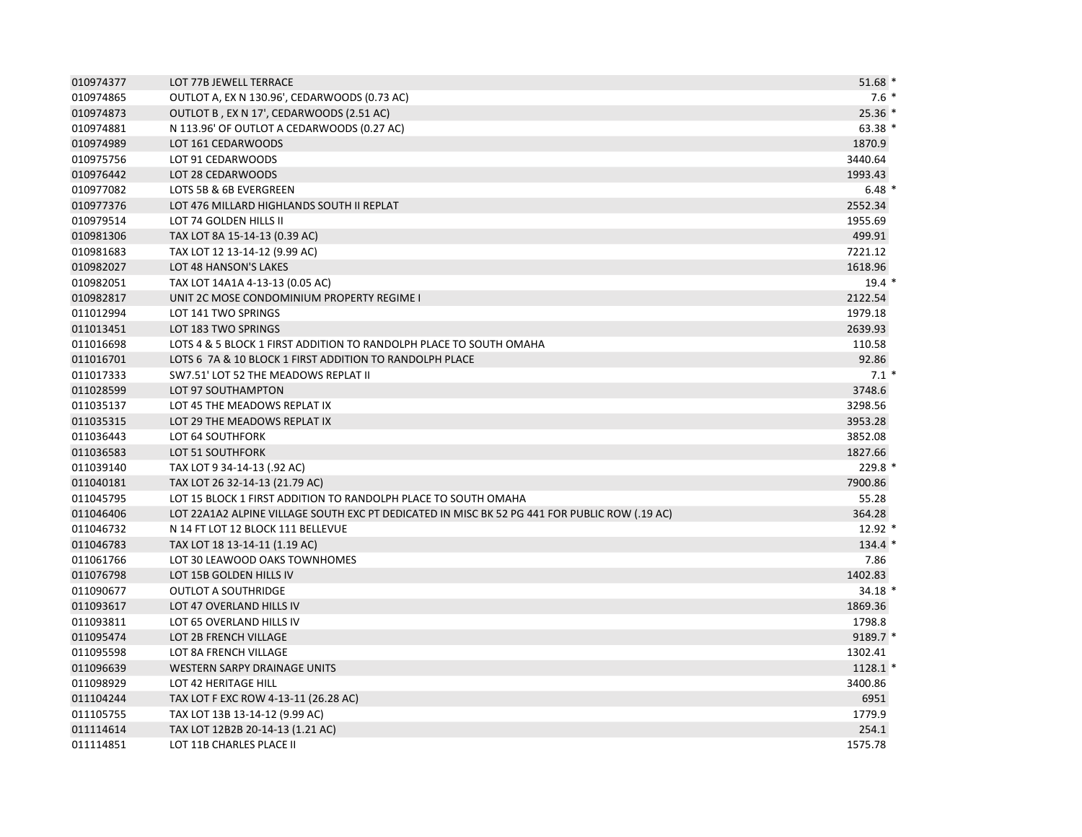| 010974377 | LOT 77B JEWELL TERRACE                                                                        | $51.68*$   |
|-----------|-----------------------------------------------------------------------------------------------|------------|
| 010974865 | OUTLOT A, EX N 130.96', CEDARWOODS (0.73 AC)                                                  | $7.6*$     |
| 010974873 | OUTLOT B, EX N 17', CEDARWOODS (2.51 AC)                                                      | $25.36*$   |
| 010974881 | N 113.96' OF OUTLOT A CEDARWOODS (0.27 AC)                                                    | 63.38 *    |
| 010974989 | LOT 161 CEDARWOODS                                                                            | 1870.9     |
| 010975756 | LOT 91 CEDARWOODS                                                                             | 3440.64    |
| 010976442 | LOT 28 CEDARWOODS                                                                             | 1993.43    |
| 010977082 | LOTS 5B & 6B EVERGREEN                                                                        | $6.48*$    |
| 010977376 | LOT 476 MILLARD HIGHLANDS SOUTH II REPLAT                                                     | 2552.34    |
| 010979514 | LOT 74 GOLDEN HILLS II                                                                        | 1955.69    |
| 010981306 | TAX LOT 8A 15-14-13 (0.39 AC)                                                                 | 499.91     |
| 010981683 | TAX LOT 12 13-14-12 (9.99 AC)                                                                 | 7221.12    |
| 010982027 | LOT 48 HANSON'S LAKES                                                                         | 1618.96    |
| 010982051 | TAX LOT 14A1A 4-13-13 (0.05 AC)                                                               | $19.4*$    |
| 010982817 | UNIT 2C MOSE CONDOMINIUM PROPERTY REGIME I                                                    | 2122.54    |
| 011012994 | LOT 141 TWO SPRINGS                                                                           | 1979.18    |
| 011013451 | LOT 183 TWO SPRINGS                                                                           | 2639.93    |
| 011016698 | LOTS 4 & 5 BLOCK 1 FIRST ADDITION TO RANDOLPH PLACE TO SOUTH OMAHA                            | 110.58     |
| 011016701 | LOTS 6 7A & 10 BLOCK 1 FIRST ADDITION TO RANDOLPH PLACE                                       | 92.86      |
| 011017333 | SW7.51' LOT 52 THE MEADOWS REPLAT II                                                          | $7.1*$     |
| 011028599 | LOT 97 SOUTHAMPTON                                                                            | 3748.6     |
| 011035137 | LOT 45 THE MEADOWS REPLAT IX                                                                  | 3298.56    |
| 011035315 | LOT 29 THE MEADOWS REPLAT IX                                                                  | 3953.28    |
| 011036443 | LOT 64 SOUTHFORK                                                                              | 3852.08    |
| 011036583 | LOT 51 SOUTHFORK                                                                              | 1827.66    |
| 011039140 | TAX LOT 9 34-14-13 (.92 AC)                                                                   | 229.8 *    |
| 011040181 | TAX LOT 26 32-14-13 (21.79 AC)                                                                | 7900.86    |
| 011045795 | LOT 15 BLOCK 1 FIRST ADDITION TO RANDOLPH PLACE TO SOUTH OMAHA                                | 55.28      |
| 011046406 | LOT 22A1A2 ALPINE VILLAGE SOUTH EXC PT DEDICATED IN MISC BK 52 PG 441 FOR PUBLIC ROW (.19 AC) | 364.28     |
| 011046732 | N 14 FT LOT 12 BLOCK 111 BELLEVUE                                                             | $12.92*$   |
| 011046783 | TAX LOT 18 13-14-11 (1.19 AC)                                                                 | $134.4*$   |
| 011061766 | LOT 30 LEAWOOD OAKS TOWNHOMES                                                                 | 7.86       |
| 011076798 | LOT 15B GOLDEN HILLS IV                                                                       | 1402.83    |
| 011090677 | <b>OUTLOT A SOUTHRIDGE</b>                                                                    | 34.18 *    |
| 011093617 | LOT 47 OVERLAND HILLS IV                                                                      | 1869.36    |
| 011093811 | LOT 65 OVERLAND HILLS IV                                                                      | 1798.8     |
| 011095474 | LOT 2B FRENCH VILLAGE                                                                         | 9189.7 *   |
| 011095598 | LOT 8A FRENCH VILLAGE                                                                         | 1302.41    |
| 011096639 | <b>WESTERN SARPY DRAINAGE UNITS</b>                                                           | $1128.1$ * |
| 011098929 | LOT 42 HERITAGE HILL                                                                          | 3400.86    |
| 011104244 | TAX LOT F EXC ROW 4-13-11 (26.28 AC)                                                          | 6951       |
| 011105755 | TAX LOT 13B 13-14-12 (9.99 AC)                                                                | 1779.9     |
| 011114614 | TAX LOT 12B2B 20-14-13 (1.21 AC)                                                              | 254.1      |
| 011114851 | LOT 11B CHARLES PLACE II                                                                      | 1575.78    |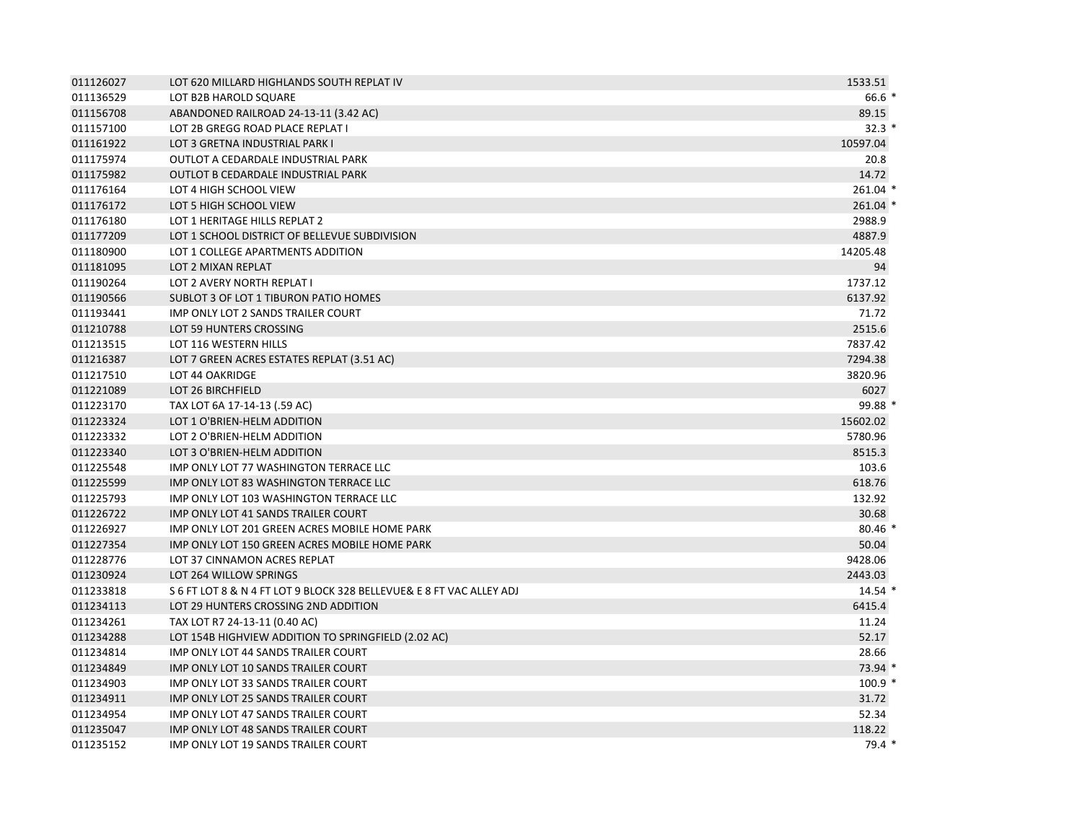| 011126027 | LOT 620 MILLARD HIGHLANDS SOUTH REPLAT IV                            | 1533.51  |
|-----------|----------------------------------------------------------------------|----------|
| 011136529 | LOT B2B HAROLD SQUARE                                                | $66.6*$  |
| 011156708 | ABANDONED RAILROAD 24-13-11 (3.42 AC)                                | 89.15    |
| 011157100 | LOT 2B GREGG ROAD PLACE REPLAT I                                     | $32.3*$  |
| 011161922 | LOT 3 GRETNA INDUSTRIAL PARK I                                       | 10597.04 |
| 011175974 | OUTLOT A CEDARDALE INDUSTRIAL PARK                                   | 20.8     |
| 011175982 | <b>OUTLOT B CEDARDALE INDUSTRIAL PARK</b>                            | 14.72    |
| 011176164 | LOT 4 HIGH SCHOOL VIEW                                               | 261.04 * |
| 011176172 | LOT 5 HIGH SCHOOL VIEW                                               | 261.04 * |
| 011176180 | LOT 1 HERITAGE HILLS REPLAT 2                                        | 2988.9   |
| 011177209 | LOT 1 SCHOOL DISTRICT OF BELLEVUE SUBDIVISION                        | 4887.9   |
| 011180900 | LOT 1 COLLEGE APARTMENTS ADDITION                                    | 14205.48 |
| 011181095 | LOT 2 MIXAN REPLAT                                                   | 94       |
| 011190264 | LOT 2 AVERY NORTH REPLAT I                                           | 1737.12  |
| 011190566 | SUBLOT 3 OF LOT 1 TIBURON PATIO HOMES                                | 6137.92  |
| 011193441 | IMP ONLY LOT 2 SANDS TRAILER COURT                                   | 71.72    |
| 011210788 | LOT 59 HUNTERS CROSSING                                              | 2515.6   |
| 011213515 | LOT 116 WESTERN HILLS                                                | 7837.42  |
| 011216387 | LOT 7 GREEN ACRES ESTATES REPLAT (3.51 AC)                           | 7294.38  |
| 011217510 | LOT 44 OAKRIDGE                                                      | 3820.96  |
| 011221089 | LOT 26 BIRCHFIELD                                                    | 6027     |
| 011223170 | TAX LOT 6A 17-14-13 (.59 AC)                                         | 99.88 *  |
| 011223324 | LOT 1 O'BRIEN-HELM ADDITION                                          | 15602.02 |
| 011223332 | LOT 2 O'BRIEN-HELM ADDITION                                          | 5780.96  |
| 011223340 | LOT 3 O'BRIEN-HELM ADDITION                                          | 8515.3   |
| 011225548 | <b>IMP ONLY LOT 77 WASHINGTON TERRACE LLC</b>                        | 103.6    |
| 011225599 | IMP ONLY LOT 83 WASHINGTON TERRACE LLC                               | 618.76   |
| 011225793 | IMP ONLY LOT 103 WASHINGTON TERRACE LLC                              | 132.92   |
| 011226722 | IMP ONLY LOT 41 SANDS TRAILER COURT                                  | 30.68    |
| 011226927 | IMP ONLY LOT 201 GREEN ACRES MOBILE HOME PARK                        | $80.46*$ |
| 011227354 | IMP ONLY LOT 150 GREEN ACRES MOBILE HOME PARK                        | 50.04    |
| 011228776 | LOT 37 CINNAMON ACRES REPLAT                                         | 9428.06  |
| 011230924 | LOT 264 WILLOW SPRINGS                                               | 2443.03  |
| 011233818 | S 6 FT LOT 8 & N 4 FT LOT 9 BLOCK 328 BELLEVUE& E 8 FT VAC ALLEY ADJ | $14.54*$ |
| 011234113 | LOT 29 HUNTERS CROSSING 2ND ADDITION                                 | 6415.4   |
| 011234261 | TAX LOT R7 24-13-11 (0.40 AC)                                        | 11.24    |
| 011234288 | LOT 154B HIGHVIEW ADDITION TO SPRINGFIELD (2.02 AC)                  | 52.17    |
| 011234814 | IMP ONLY LOT 44 SANDS TRAILER COURT                                  | 28.66    |
| 011234849 | IMP ONLY LOT 10 SANDS TRAILER COURT                                  | $73.94*$ |
| 011234903 | <b>IMP ONLY LOT 33 SANDS TRAILER COURT</b>                           | $100.9*$ |
| 011234911 | IMP ONLY LOT 25 SANDS TRAILER COURT                                  | 31.72    |
| 011234954 | IMP ONLY LOT 47 SANDS TRAILER COURT                                  | 52.34    |
| 011235047 | <b>IMP ONLY LOT 48 SANDS TRAILER COURT</b>                           | 118.22   |
| 011235152 | <b>IMP ONLY LOT 19 SANDS TRAILER COURT</b>                           | $79.4*$  |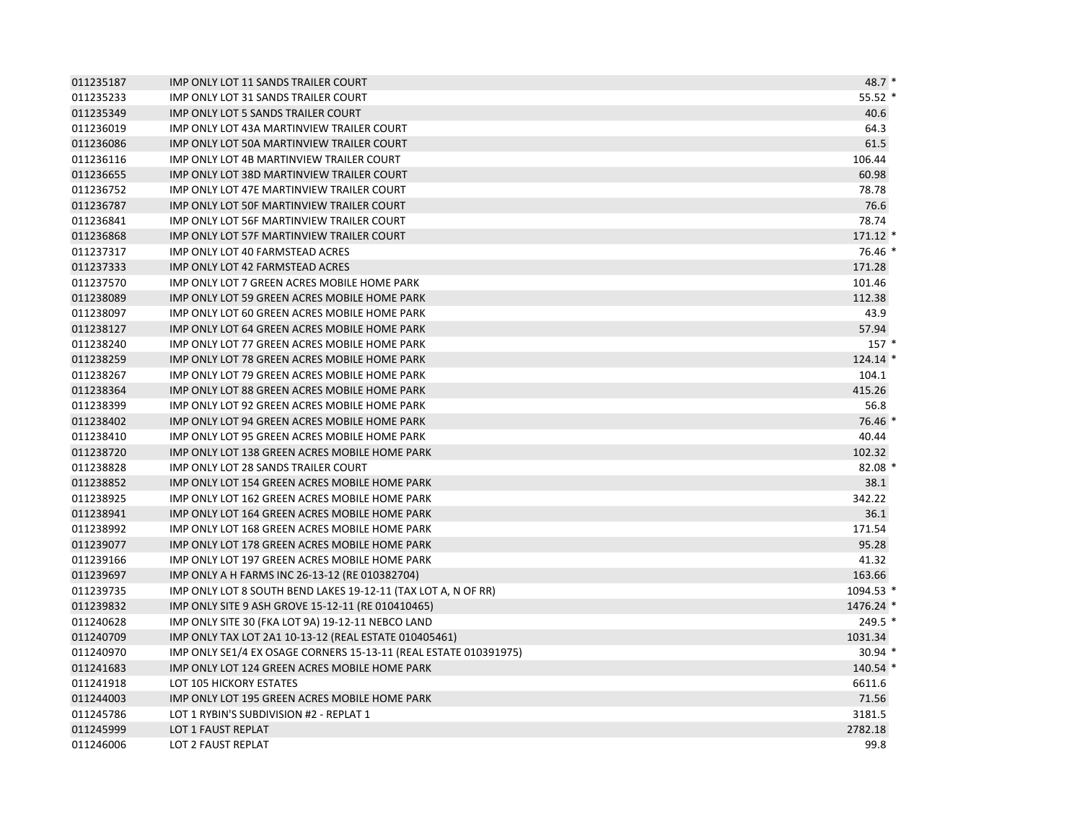| 011235187 | IMP ONLY LOT 11 SANDS TRAILER COURT                              | $48.7*$    |
|-----------|------------------------------------------------------------------|------------|
| 011235233 | IMP ONLY LOT 31 SANDS TRAILER COURT                              | $55.52*$   |
| 011235349 | IMP ONLY LOT 5 SANDS TRAILER COURT                               | 40.6       |
| 011236019 | IMP ONLY LOT 43A MARTINVIEW TRAILER COURT                        | 64.3       |
| 011236086 | IMP ONLY LOT 50A MARTINVIEW TRAILER COURT                        | 61.5       |
| 011236116 | IMP ONLY LOT 4B MARTINVIEW TRAILER COURT                         | 106.44     |
| 011236655 | IMP ONLY LOT 38D MARTINVIEW TRAILER COURT                        | 60.98      |
| 011236752 | IMP ONLY LOT 47E MARTINVIEW TRAILER COURT                        | 78.78      |
| 011236787 | IMP ONLY LOT 50F MARTINVIEW TRAILER COURT                        | 76.6       |
| 011236841 | <b>IMP ONLY LOT 56F MARTINVIEW TRAILER COURT</b>                 | 78.74      |
| 011236868 | IMP ONLY LOT 57F MARTINVIEW TRAILER COURT                        | $171.12$ * |
| 011237317 | IMP ONLY LOT 40 FARMSTEAD ACRES                                  | 76.46 *    |
| 011237333 | IMP ONLY LOT 42 FARMSTEAD ACRES                                  | 171.28     |
| 011237570 | IMP ONLY LOT 7 GREEN ACRES MOBILE HOME PARK                      | 101.46     |
| 011238089 | IMP ONLY LOT 59 GREEN ACRES MOBILE HOME PARK                     | 112.38     |
| 011238097 | IMP ONLY LOT 60 GREEN ACRES MOBILE HOME PARK                     | 43.9       |
| 011238127 | IMP ONLY LOT 64 GREEN ACRES MOBILE HOME PARK                     | 57.94      |
| 011238240 | IMP ONLY LOT 77 GREEN ACRES MOBILE HOME PARK                     | $157*$     |
| 011238259 | IMP ONLY LOT 78 GREEN ACRES MOBILE HOME PARK                     | $124.14$ * |
| 011238267 | IMP ONLY LOT 79 GREEN ACRES MOBILE HOME PARK                     | 104.1      |
| 011238364 | IMP ONLY LOT 88 GREEN ACRES MOBILE HOME PARK                     | 415.26     |
| 011238399 | IMP ONLY LOT 92 GREEN ACRES MOBILE HOME PARK                     | 56.8       |
| 011238402 | IMP ONLY LOT 94 GREEN ACRES MOBILE HOME PARK                     | 76.46 *    |
| 011238410 | IMP ONLY LOT 95 GREEN ACRES MOBILE HOME PARK                     | 40.44      |
| 011238720 | IMP ONLY LOT 138 GREEN ACRES MOBILE HOME PARK                    | 102.32     |
| 011238828 | <b>IMP ONLY LOT 28 SANDS TRAILER COURT</b>                       | $82.08*$   |
| 011238852 | IMP ONLY LOT 154 GREEN ACRES MOBILE HOME PARK                    | 38.1       |
| 011238925 | IMP ONLY LOT 162 GREEN ACRES MOBILE HOME PARK                    | 342.22     |
| 011238941 | IMP ONLY LOT 164 GREEN ACRES MOBILE HOME PARK                    | 36.1       |
| 011238992 | IMP ONLY LOT 168 GREEN ACRES MOBILE HOME PARK                    | 171.54     |
| 011239077 | IMP ONLY LOT 178 GREEN ACRES MOBILE HOME PARK                    | 95.28      |
| 011239166 | IMP ONLY LOT 197 GREEN ACRES MOBILE HOME PARK                    | 41.32      |
| 011239697 | IMP ONLY A H FARMS INC 26-13-12 (RE 010382704)                   | 163.66     |
| 011239735 | IMP ONLY LOT 8 SOUTH BEND LAKES 19-12-11 (TAX LOT A, N OF RR)    | 1094.53 *  |
| 011239832 | IMP ONLY SITE 9 ASH GROVE 15-12-11 (RE 010410465)                | 1476.24 *  |
| 011240628 | IMP ONLY SITE 30 (FKA LOT 9A) 19-12-11 NEBCO LAND                | $249.5*$   |
| 011240709 | IMP ONLY TAX LOT 2A1 10-13-12 (REAL ESTATE 010405461)            | 1031.34    |
| 011240970 | IMP ONLY SE1/4 EX OSAGE CORNERS 15-13-11 (REAL ESTATE 010391975) | $30.94$ *  |
| 011241683 | IMP ONLY LOT 124 GREEN ACRES MOBILE HOME PARK                    | $140.54$ * |
| 011241918 | LOT 105 HICKORY ESTATES                                          | 6611.6     |
| 011244003 | IMP ONLY LOT 195 GREEN ACRES MOBILE HOME PARK                    | 71.56      |
| 011245786 | LOT 1 RYBIN'S SUBDIVISION #2 - REPLAT 1                          | 3181.5     |
| 011245999 | LOT 1 FAUST REPLAT                                               | 2782.18    |
| 011246006 | LOT 2 FAUST REPLAT                                               | 99.8       |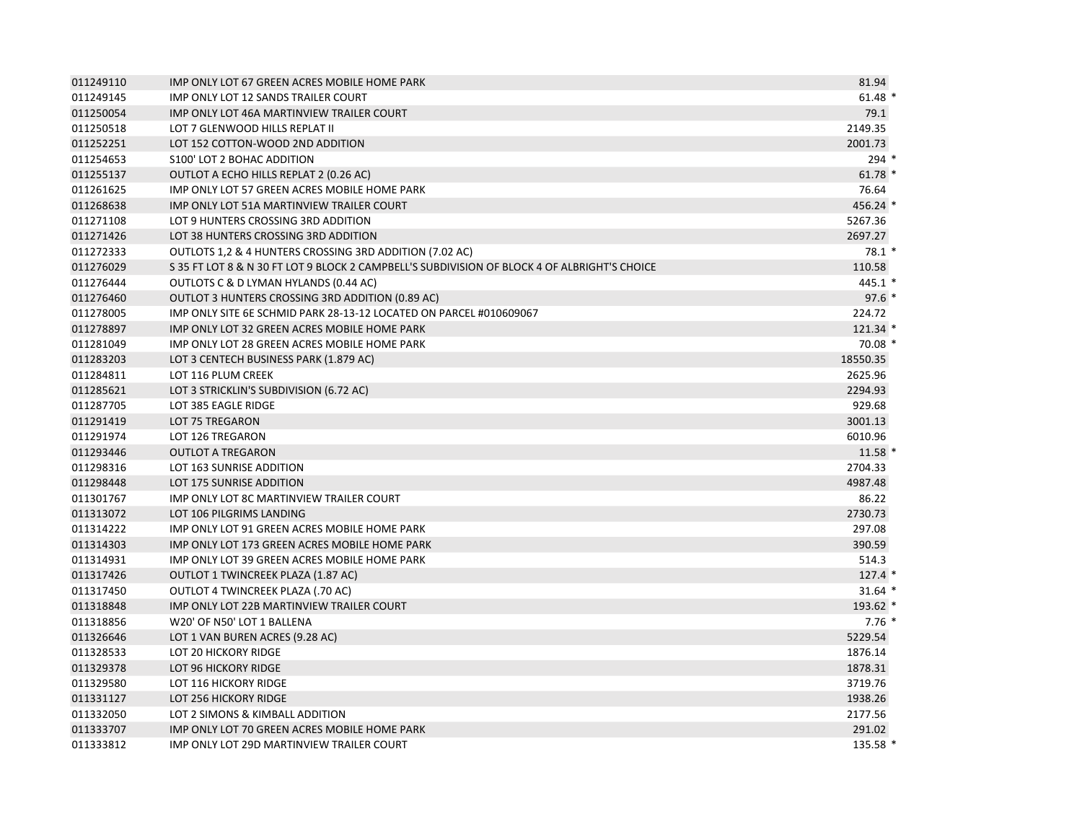| 011249110 | IMP ONLY LOT 67 GREEN ACRES MOBILE HOME PARK                                                 | 81.94      |
|-----------|----------------------------------------------------------------------------------------------|------------|
| 011249145 | <b>IMP ONLY LOT 12 SANDS TRAILER COURT</b>                                                   | $61.48*$   |
| 011250054 | IMP ONLY LOT 46A MARTINVIEW TRAILER COURT                                                    | 79.1       |
| 011250518 | LOT 7 GLENWOOD HILLS REPLAT II                                                               | 2149.35    |
| 011252251 | LOT 152 COTTON-WOOD 2ND ADDITION                                                             | 2001.73    |
| 011254653 | <b>S100' LOT 2 BOHAC ADDITION</b>                                                            | $294$ *    |
| 011255137 | OUTLOT A ECHO HILLS REPLAT 2 (0.26 AC)                                                       | $61.78*$   |
| 011261625 | IMP ONLY LOT 57 GREEN ACRES MOBILE HOME PARK                                                 | 76.64      |
| 011268638 | IMP ONLY LOT 51A MARTINVIEW TRAILER COURT                                                    | 456.24 *   |
| 011271108 | LOT 9 HUNTERS CROSSING 3RD ADDITION                                                          | 5267.36    |
| 011271426 | LOT 38 HUNTERS CROSSING 3RD ADDITION                                                         | 2697.27    |
| 011272333 | OUTLOTS 1,2 & 4 HUNTERS CROSSING 3RD ADDITION (7.02 AC)                                      | $78.1*$    |
| 011276029 | S 35 FT LOT 8 & N 30 FT LOT 9 BLOCK 2 CAMPBELL'S SUBDIVISION OF BLOCK 4 OF ALBRIGHT'S CHOICE | 110.58     |
| 011276444 | OUTLOTS C & D LYMAN HYLANDS (0.44 AC)                                                        | 445.1 *    |
| 011276460 | OUTLOT 3 HUNTERS CROSSING 3RD ADDITION (0.89 AC)                                             | $97.6*$    |
| 011278005 | IMP ONLY SITE 6E SCHMID PARK 28-13-12 LOCATED ON PARCEL #010609067                           | 224.72     |
| 011278897 | IMP ONLY LOT 32 GREEN ACRES MOBILE HOME PARK                                                 | $121.34$ * |
| 011281049 | IMP ONLY LOT 28 GREEN ACRES MOBILE HOME PARK                                                 | $70.08*$   |
| 011283203 | LOT 3 CENTECH BUSINESS PARK (1.879 AC)                                                       | 18550.35   |
| 011284811 | LOT 116 PLUM CREEK                                                                           | 2625.96    |
| 011285621 | LOT 3 STRICKLIN'S SUBDIVISION (6.72 AC)                                                      | 2294.93    |
| 011287705 | LOT 385 EAGLE RIDGE                                                                          | 929.68     |
| 011291419 | LOT 75 TREGARON                                                                              | 3001.13    |
| 011291974 | LOT 126 TREGARON                                                                             | 6010.96    |
| 011293446 | <b>OUTLOT A TREGARON</b>                                                                     | $11.58*$   |
| 011298316 | LOT 163 SUNRISE ADDITION                                                                     | 2704.33    |
| 011298448 | LOT 175 SUNRISE ADDITION                                                                     | 4987.48    |
| 011301767 | <b>IMP ONLY LOT 8C MARTINVIEW TRAILER COURT</b>                                              | 86.22      |
| 011313072 | LOT 106 PILGRIMS LANDING                                                                     | 2730.73    |
| 011314222 | IMP ONLY LOT 91 GREEN ACRES MOBILE HOME PARK                                                 | 297.08     |
| 011314303 | IMP ONLY LOT 173 GREEN ACRES MOBILE HOME PARK                                                | 390.59     |
| 011314931 | IMP ONLY LOT 39 GREEN ACRES MOBILE HOME PARK                                                 | 514.3      |
| 011317426 | OUTLOT 1 TWINCREEK PLAZA (1.87 AC)                                                           | $127.4*$   |
| 011317450 | OUTLOT 4 TWINCREEK PLAZA (.70 AC)                                                            | $31.64$ *  |
| 011318848 | IMP ONLY LOT 22B MARTINVIEW TRAILER COURT                                                    | 193.62 *   |
| 011318856 | W20' OF N50' LOT 1 BALLENA                                                                   | $7.76*$    |
| 011326646 | LOT 1 VAN BUREN ACRES (9.28 AC)                                                              | 5229.54    |
| 011328533 | LOT 20 HICKORY RIDGE                                                                         | 1876.14    |
| 011329378 | <b>LOT 96 HICKORY RIDGE</b>                                                                  | 1878.31    |
| 011329580 | LOT 116 HICKORY RIDGE                                                                        | 3719.76    |
| 011331127 | LOT 256 HICKORY RIDGE                                                                        | 1938.26    |
| 011332050 | LOT 2 SIMONS & KIMBALL ADDITION                                                              | 2177.56    |
| 011333707 | IMP ONLY LOT 70 GREEN ACRES MOBILE HOME PARK                                                 | 291.02     |
| 011333812 | IMP ONLY LOT 29D MARTINVIEW TRAILER COURT                                                    | 135.58 *   |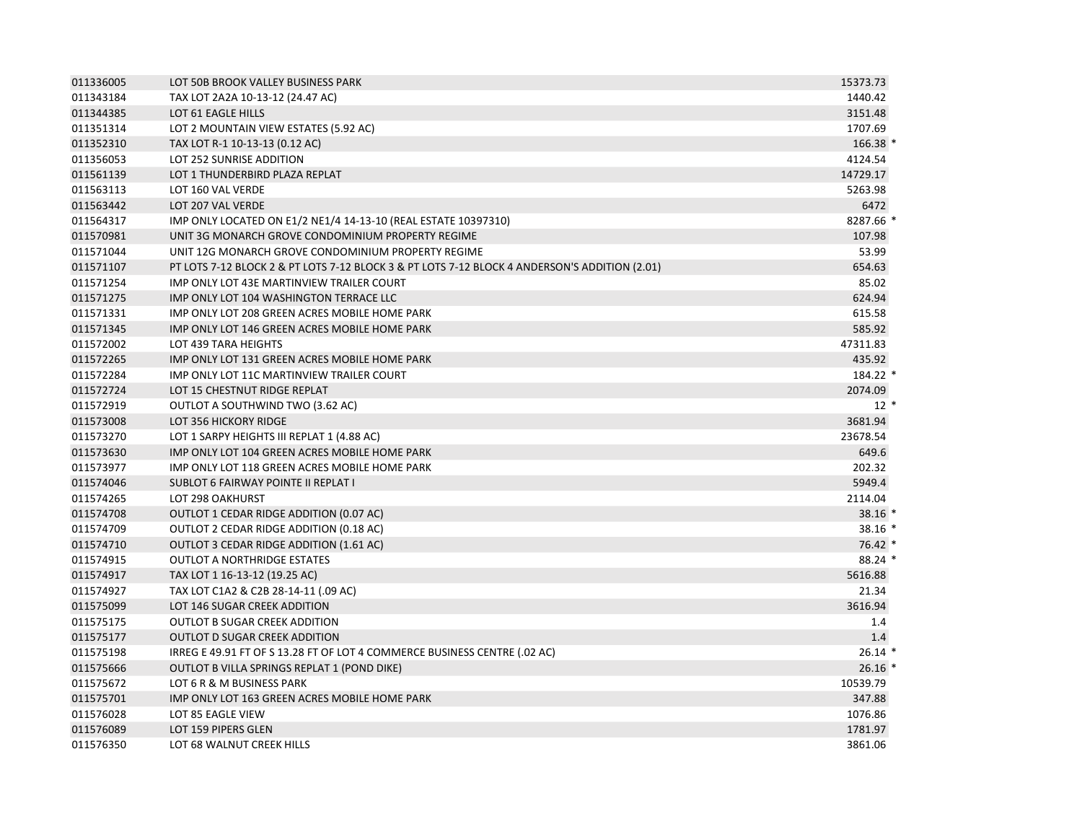| 011336005 | LOT 50B BROOK VALLEY BUSINESS PARK                                                            | 15373.73  |
|-----------|-----------------------------------------------------------------------------------------------|-----------|
| 011343184 | TAX LOT 2A2A 10-13-12 (24.47 AC)                                                              | 1440.42   |
| 011344385 | LOT 61 EAGLE HILLS                                                                            | 3151.48   |
| 011351314 | LOT 2 MOUNTAIN VIEW ESTATES (5.92 AC)                                                         | 1707.69   |
| 011352310 | TAX LOT R-1 10-13-13 (0.12 AC)                                                                | 166.38 *  |
| 011356053 | LOT 252 SUNRISE ADDITION                                                                      | 4124.54   |
| 011561139 | LOT 1 THUNDERBIRD PLAZA REPLAT                                                                | 14729.17  |
| 011563113 | LOT 160 VAL VERDE                                                                             | 5263.98   |
| 011563442 | LOT 207 VAL VERDE                                                                             | 6472      |
| 011564317 | IMP ONLY LOCATED ON E1/2 NE1/4 14-13-10 (REAL ESTATE 10397310)                                | 8287.66 * |
| 011570981 | UNIT 3G MONARCH GROVE CONDOMINIUM PROPERTY REGIME                                             | 107.98    |
| 011571044 | UNIT 12G MONARCH GROVE CONDOMINIUM PROPERTY REGIME                                            | 53.99     |
| 011571107 | PT LOTS 7-12 BLOCK 2 & PT LOTS 7-12 BLOCK 3 & PT LOTS 7-12 BLOCK 4 ANDERSON'S ADDITION (2.01) | 654.63    |
| 011571254 | IMP ONLY LOT 43E MARTINVIEW TRAILER COURT                                                     | 85.02     |
| 011571275 | IMP ONLY LOT 104 WASHINGTON TERRACE LLC                                                       | 624.94    |
| 011571331 | IMP ONLY LOT 208 GREEN ACRES MOBILE HOME PARK                                                 | 615.58    |
| 011571345 | IMP ONLY LOT 146 GREEN ACRES MOBILE HOME PARK                                                 | 585.92    |
| 011572002 | LOT 439 TARA HEIGHTS                                                                          | 47311.83  |
| 011572265 | IMP ONLY LOT 131 GREEN ACRES MOBILE HOME PARK                                                 | 435.92    |
| 011572284 | IMP ONLY LOT 11C MARTINVIEW TRAILER COURT                                                     | 184.22 *  |
| 011572724 | LOT 15 CHESTNUT RIDGE REPLAT                                                                  | 2074.09   |
| 011572919 | OUTLOT A SOUTHWIND TWO (3.62 AC)                                                              | $12*$     |
| 011573008 | LOT 356 HICKORY RIDGE                                                                         | 3681.94   |
| 011573270 | LOT 1 SARPY HEIGHTS III REPLAT 1 (4.88 AC)                                                    | 23678.54  |
| 011573630 | IMP ONLY LOT 104 GREEN ACRES MOBILE HOME PARK                                                 | 649.6     |
| 011573977 | IMP ONLY LOT 118 GREEN ACRES MOBILE HOME PARK                                                 | 202.32    |
| 011574046 | <b>SUBLOT 6 FAIRWAY POINTE II REPLAT I</b>                                                    | 5949.4    |
| 011574265 | LOT 298 OAKHURST                                                                              | 2114.04   |
| 011574708 | OUTLOT 1 CEDAR RIDGE ADDITION (0.07 AC)                                                       | 38.16 *   |
| 011574709 | OUTLOT 2 CEDAR RIDGE ADDITION (0.18 AC)                                                       | $38.16*$  |
| 011574710 | OUTLOT 3 CEDAR RIDGE ADDITION (1.61 AC)                                                       | $76.42*$  |
| 011574915 | <b>OUTLOT A NORTHRIDGE ESTATES</b>                                                            | $88.24*$  |
| 011574917 | TAX LOT 1 16-13-12 (19.25 AC)                                                                 | 5616.88   |
| 011574927 | TAX LOT C1A2 & C2B 28-14-11 (.09 AC)                                                          | 21.34     |
| 011575099 | LOT 146 SUGAR CREEK ADDITION                                                                  | 3616.94   |
| 011575175 | <b>OUTLOT B SUGAR CREEK ADDITION</b>                                                          | 1.4       |
| 011575177 | <b>OUTLOT D SUGAR CREEK ADDITION</b>                                                          | 1.4       |
| 011575198 | IRREG E 49.91 FT OF S 13.28 FT OF LOT 4 COMMERCE BUSINESS CENTRE (.02 AC)                     | $26.14*$  |
| 011575666 | OUTLOT B VILLA SPRINGS REPLAT 1 (POND DIKE)                                                   | $26.16*$  |
| 011575672 | LOT 6 R & M BUSINESS PARK                                                                     | 10539.79  |
| 011575701 | IMP ONLY LOT 163 GREEN ACRES MOBILE HOME PARK                                                 | 347.88    |
| 011576028 | LOT 85 EAGLE VIEW                                                                             | 1076.86   |
| 011576089 | LOT 159 PIPERS GLEN                                                                           | 1781.97   |
| 011576350 | LOT 68 WALNUT CREEK HILLS                                                                     | 3861.06   |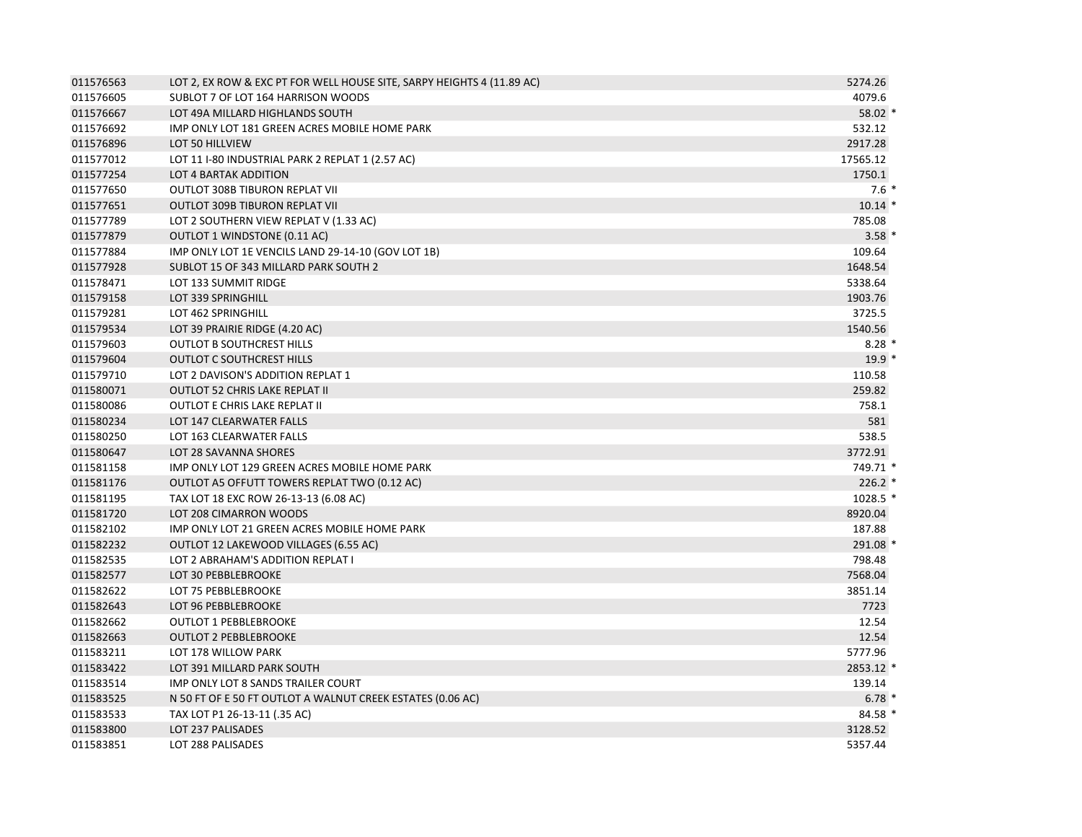| 011576563 | LOT 2, EX ROW & EXC PT FOR WELL HOUSE SITE, SARPY HEIGHTS 4 (11.89 AC) | 5274.26   |
|-----------|------------------------------------------------------------------------|-----------|
| 011576605 | SUBLOT 7 OF LOT 164 HARRISON WOODS                                     | 4079.6    |
| 011576667 | LOT 49A MILLARD HIGHLANDS SOUTH                                        | 58.02 *   |
| 011576692 | IMP ONLY LOT 181 GREEN ACRES MOBILE HOME PARK                          | 532.12    |
| 011576896 | LOT 50 HILLVIEW                                                        | 2917.28   |
| 011577012 | LOT 11 I-80 INDUSTRIAL PARK 2 REPLAT 1 (2.57 AC)                       | 17565.12  |
| 011577254 | LOT 4 BARTAK ADDITION                                                  | 1750.1    |
| 011577650 | OUTLOT 308B TIBURON REPLAT VII                                         | $7.6*$    |
| 011577651 | <b>OUTLOT 309B TIBURON REPLAT VII</b>                                  | $10.14$ * |
| 011577789 | LOT 2 SOUTHERN VIEW REPLAT V (1.33 AC)                                 | 785.08    |
| 011577879 | <b>OUTLOT 1 WINDSTONE (0.11 AC)</b>                                    | $3.58*$   |
| 011577884 | IMP ONLY LOT 1E VENCILS LAND 29-14-10 (GOV LOT 1B)                     | 109.64    |
| 011577928 | SUBLOT 15 OF 343 MILLARD PARK SOUTH 2                                  | 1648.54   |
| 011578471 | LOT 133 SUMMIT RIDGE                                                   | 5338.64   |
| 011579158 | LOT 339 SPRINGHILL                                                     | 1903.76   |
| 011579281 | LOT 462 SPRINGHILL                                                     | 3725.5    |
| 011579534 | LOT 39 PRAIRIE RIDGE (4.20 AC)                                         | 1540.56   |
| 011579603 | <b>OUTLOT B SOUTHCREST HILLS</b>                                       | $8.28*$   |
| 011579604 | <b>OUTLOT C SOUTHCREST HILLS</b>                                       | $19.9*$   |
| 011579710 | LOT 2 DAVISON'S ADDITION REPLAT 1                                      | 110.58    |
| 011580071 | <b>OUTLOT 52 CHRIS LAKE REPLAT II</b>                                  | 259.82    |
| 011580086 | <b>OUTLOT E CHRIS LAKE REPLAT II</b>                                   | 758.1     |
| 011580234 | LOT 147 CLEARWATER FALLS                                               | 581       |
| 011580250 | LOT 163 CLEARWATER FALLS                                               | 538.5     |
| 011580647 | LOT 28 SAVANNA SHORES                                                  | 3772.91   |
| 011581158 | IMP ONLY LOT 129 GREEN ACRES MOBILE HOME PARK                          | 749.71 *  |
| 011581176 | OUTLOT A5 OFFUTT TOWERS REPLAT TWO (0.12 AC)                           | $226.2$ * |
| 011581195 | TAX LOT 18 EXC ROW 26-13-13 (6.08 AC)                                  | 1028.5 *  |
| 011581720 | LOT 208 CIMARRON WOODS                                                 | 8920.04   |
| 011582102 | IMP ONLY LOT 21 GREEN ACRES MOBILE HOME PARK                           | 187.88    |
| 011582232 | OUTLOT 12 LAKEWOOD VILLAGES (6.55 AC)                                  | 291.08 *  |
| 011582535 | LOT 2 ABRAHAM'S ADDITION REPLAT I                                      | 798.48    |
| 011582577 | LOT 30 PEBBLEBROOKE                                                    | 7568.04   |
| 011582622 | LOT 75 PEBBLEBROOKE                                                    | 3851.14   |
| 011582643 | LOT 96 PEBBLEBROOKE                                                    | 7723      |
| 011582662 | <b>OUTLOT 1 PEBBLEBROOKE</b>                                           | 12.54     |
| 011582663 | <b>OUTLOT 2 PEBBLEBROOKE</b>                                           | 12.54     |
| 011583211 | LOT 178 WILLOW PARK                                                    | 5777.96   |
| 011583422 | LOT 391 MILLARD PARK SOUTH                                             | 2853.12 * |
| 011583514 | IMP ONLY LOT 8 SANDS TRAILER COURT                                     | 139.14    |
| 011583525 | N 50 FT OF E 50 FT OUTLOT A WALNUT CREEK ESTATES (0.06 AC)             | $6.78*$   |
| 011583533 | TAX LOT P1 26-13-11 (.35 AC)                                           | 84.58 *   |
| 011583800 | LOT 237 PALISADES                                                      | 3128.52   |
| 011583851 | LOT 288 PALISADES                                                      | 5357.44   |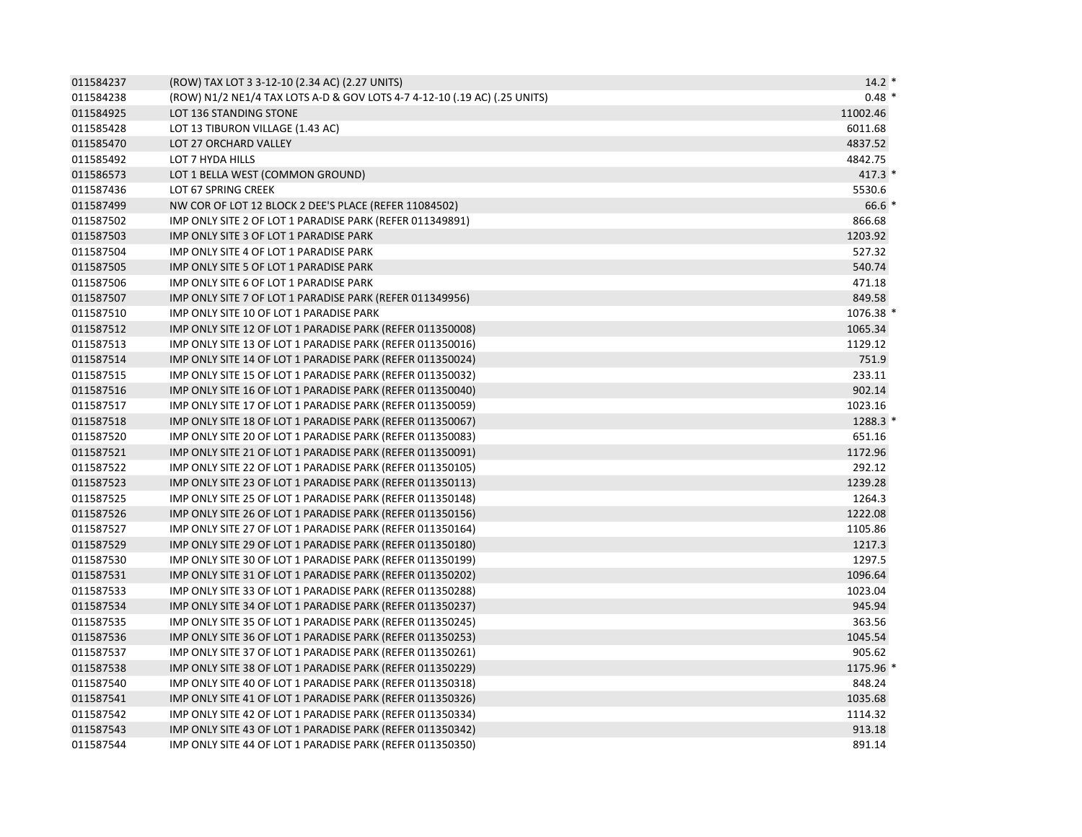| 011584237 | (ROW) TAX LOT 3 3-12-10 (2.34 AC) (2.27 UNITS)                            | $14.2*$   |
|-----------|---------------------------------------------------------------------------|-----------|
| 011584238 | (ROW) N1/2 NE1/4 TAX LOTS A-D & GOV LOTS 4-7 4-12-10 (.19 AC) (.25 UNITS) | $0.48*$   |
| 011584925 | LOT 136 STANDING STONE                                                    | 11002.46  |
| 011585428 | LOT 13 TIBURON VILLAGE (1.43 AC)                                          | 6011.68   |
| 011585470 | LOT 27 ORCHARD VALLEY                                                     | 4837.52   |
| 011585492 | LOT 7 HYDA HILLS                                                          | 4842.75   |
| 011586573 | LOT 1 BELLA WEST (COMMON GROUND)                                          | 417.3 *   |
| 011587436 | LOT 67 SPRING CREEK                                                       | 5530.6    |
| 011587499 | NW COR OF LOT 12 BLOCK 2 DEE'S PLACE (REFER 11084502)                     | $66.6*$   |
| 011587502 | IMP ONLY SITE 2 OF LOT 1 PARADISE PARK (REFER 011349891)                  | 866.68    |
| 011587503 | IMP ONLY SITE 3 OF LOT 1 PARADISE PARK                                    | 1203.92   |
| 011587504 | IMP ONLY SITE 4 OF LOT 1 PARADISE PARK                                    | 527.32    |
| 011587505 | IMP ONLY SITE 5 OF LOT 1 PARADISE PARK                                    | 540.74    |
| 011587506 | IMP ONLY SITE 6 OF LOT 1 PARADISE PARK                                    | 471.18    |
| 011587507 | IMP ONLY SITE 7 OF LOT 1 PARADISE PARK (REFER 011349956)                  | 849.58    |
| 011587510 | IMP ONLY SITE 10 OF LOT 1 PARADISE PARK                                   | 1076.38 * |
| 011587512 | IMP ONLY SITE 12 OF LOT 1 PARADISE PARK (REFER 011350008)                 | 1065.34   |
| 011587513 | IMP ONLY SITE 13 OF LOT 1 PARADISE PARK (REFER 011350016)                 | 1129.12   |
| 011587514 | IMP ONLY SITE 14 OF LOT 1 PARADISE PARK (REFER 011350024)                 | 751.9     |
| 011587515 | IMP ONLY SITE 15 OF LOT 1 PARADISE PARK (REFER 011350032)                 | 233.11    |
| 011587516 | IMP ONLY SITE 16 OF LOT 1 PARADISE PARK (REFER 011350040)                 | 902.14    |
| 011587517 | IMP ONLY SITE 17 OF LOT 1 PARADISE PARK (REFER 011350059)                 | 1023.16   |
| 011587518 | IMP ONLY SITE 18 OF LOT 1 PARADISE PARK (REFER 011350067)                 | 1288.3 *  |
| 011587520 | IMP ONLY SITE 20 OF LOT 1 PARADISE PARK (REFER 011350083)                 | 651.16    |
| 011587521 | IMP ONLY SITE 21 OF LOT 1 PARADISE PARK (REFER 011350091)                 | 1172.96   |
| 011587522 | IMP ONLY SITE 22 OF LOT 1 PARADISE PARK (REFER 011350105)                 | 292.12    |
| 011587523 | IMP ONLY SITE 23 OF LOT 1 PARADISE PARK (REFER 011350113)                 | 1239.28   |
| 011587525 | IMP ONLY SITE 25 OF LOT 1 PARADISE PARK (REFER 011350148)                 | 1264.3    |
| 011587526 | IMP ONLY SITE 26 OF LOT 1 PARADISE PARK (REFER 011350156)                 | 1222.08   |
| 011587527 | IMP ONLY SITE 27 OF LOT 1 PARADISE PARK (REFER 011350164)                 | 1105.86   |
| 011587529 | IMP ONLY SITE 29 OF LOT 1 PARADISE PARK (REFER 011350180)                 | 1217.3    |
| 011587530 | IMP ONLY SITE 30 OF LOT 1 PARADISE PARK (REFER 011350199)                 | 1297.5    |
| 011587531 | IMP ONLY SITE 31 OF LOT 1 PARADISE PARK (REFER 011350202)                 | 1096.64   |
| 011587533 | IMP ONLY SITE 33 OF LOT 1 PARADISE PARK (REFER 011350288)                 | 1023.04   |
| 011587534 | IMP ONLY SITE 34 OF LOT 1 PARADISE PARK (REFER 011350237)                 | 945.94    |
| 011587535 | IMP ONLY SITE 35 OF LOT 1 PARADISE PARK (REFER 011350245)                 | 363.56    |
| 011587536 | IMP ONLY SITE 36 OF LOT 1 PARADISE PARK (REFER 011350253)                 | 1045.54   |
| 011587537 | IMP ONLY SITE 37 OF LOT 1 PARADISE PARK (REFER 011350261)                 | 905.62    |
| 011587538 | IMP ONLY SITE 38 OF LOT 1 PARADISE PARK (REFER 011350229)                 | 1175.96 * |
| 011587540 | IMP ONLY SITE 40 OF LOT 1 PARADISE PARK (REFER 011350318)                 | 848.24    |
| 011587541 | IMP ONLY SITE 41 OF LOT 1 PARADISE PARK (REFER 011350326)                 | 1035.68   |
| 011587542 | IMP ONLY SITE 42 OF LOT 1 PARADISE PARK (REFER 011350334)                 | 1114.32   |
| 011587543 | IMP ONLY SITE 43 OF LOT 1 PARADISE PARK (REFER 011350342)                 | 913.18    |
| 011587544 | IMP ONLY SITE 44 OF LOT 1 PARADISE PARK (REFER 011350350)                 | 891.14    |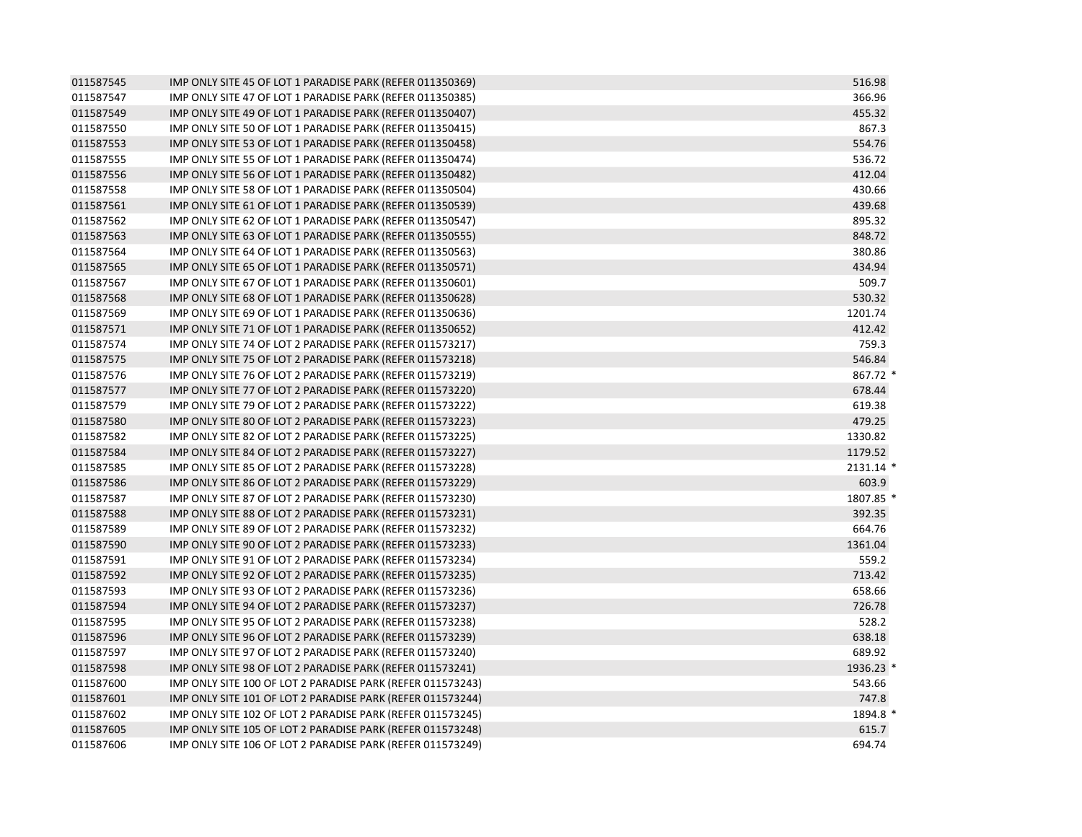| 011587545 | IMP ONLY SITE 45 OF LOT 1 PARADISE PARK (REFER 011350369)  | 516.98    |
|-----------|------------------------------------------------------------|-----------|
| 011587547 | IMP ONLY SITE 47 OF LOT 1 PARADISE PARK (REFER 011350385)  | 366.96    |
| 011587549 | IMP ONLY SITE 49 OF LOT 1 PARADISE PARK (REFER 011350407)  | 455.32    |
| 011587550 | IMP ONLY SITE 50 OF LOT 1 PARADISE PARK (REFER 011350415)  | 867.3     |
| 011587553 | IMP ONLY SITE 53 OF LOT 1 PARADISE PARK (REFER 011350458)  | 554.76    |
| 011587555 | IMP ONLY SITE 55 OF LOT 1 PARADISE PARK (REFER 011350474)  | 536.72    |
| 011587556 | IMP ONLY SITE 56 OF LOT 1 PARADISE PARK (REFER 011350482)  | 412.04    |
| 011587558 | IMP ONLY SITE 58 OF LOT 1 PARADISE PARK (REFER 011350504)  | 430.66    |
| 011587561 | IMP ONLY SITE 61 OF LOT 1 PARADISE PARK (REFER 011350539)  | 439.68    |
| 011587562 | IMP ONLY SITE 62 OF LOT 1 PARADISE PARK (REFER 011350547)  | 895.32    |
| 011587563 | IMP ONLY SITE 63 OF LOT 1 PARADISE PARK (REFER 011350555)  | 848.72    |
| 011587564 | IMP ONLY SITE 64 OF LOT 1 PARADISE PARK (REFER 011350563)  | 380.86    |
| 011587565 | IMP ONLY SITE 65 OF LOT 1 PARADISE PARK (REFER 011350571)  | 434.94    |
| 011587567 | IMP ONLY SITE 67 OF LOT 1 PARADISE PARK (REFER 011350601)  | 509.7     |
| 011587568 | IMP ONLY SITE 68 OF LOT 1 PARADISE PARK (REFER 011350628)  | 530.32    |
| 011587569 | IMP ONLY SITE 69 OF LOT 1 PARADISE PARK (REFER 011350636)  | 1201.74   |
| 011587571 | IMP ONLY SITE 71 OF LOT 1 PARADISE PARK (REFER 011350652)  | 412.42    |
| 011587574 | IMP ONLY SITE 74 OF LOT 2 PARADISE PARK (REFER 011573217)  | 759.3     |
| 011587575 | IMP ONLY SITE 75 OF LOT 2 PARADISE PARK (REFER 011573218)  | 546.84    |
| 011587576 | IMP ONLY SITE 76 OF LOT 2 PARADISE PARK (REFER 011573219)  | 867.72 *  |
| 011587577 | IMP ONLY SITE 77 OF LOT 2 PARADISE PARK (REFER 011573220)  | 678.44    |
| 011587579 | IMP ONLY SITE 79 OF LOT 2 PARADISE PARK (REFER 011573222)  | 619.38    |
| 011587580 | IMP ONLY SITE 80 OF LOT 2 PARADISE PARK (REFER 011573223)  | 479.25    |
| 011587582 | IMP ONLY SITE 82 OF LOT 2 PARADISE PARK (REFER 011573225)  | 1330.82   |
| 011587584 | IMP ONLY SITE 84 OF LOT 2 PARADISE PARK (REFER 011573227)  | 1179.52   |
| 011587585 | IMP ONLY SITE 85 OF LOT 2 PARADISE PARK (REFER 011573228)  | 2131.14 * |
| 011587586 | IMP ONLY SITE 86 OF LOT 2 PARADISE PARK (REFER 011573229)  | 603.9     |
| 011587587 | IMP ONLY SITE 87 OF LOT 2 PARADISE PARK (REFER 011573230)  | 1807.85 * |
| 011587588 | IMP ONLY SITE 88 OF LOT 2 PARADISE PARK (REFER 011573231)  | 392.35    |
| 011587589 | IMP ONLY SITE 89 OF LOT 2 PARADISE PARK (REFER 011573232)  | 664.76    |
| 011587590 | IMP ONLY SITE 90 OF LOT 2 PARADISE PARK (REFER 011573233)  | 1361.04   |
| 011587591 | IMP ONLY SITE 91 OF LOT 2 PARADISE PARK (REFER 011573234)  | 559.2     |
| 011587592 | IMP ONLY SITE 92 OF LOT 2 PARADISE PARK (REFER 011573235)  | 713.42    |
| 011587593 | IMP ONLY SITE 93 OF LOT 2 PARADISE PARK (REFER 011573236)  | 658.66    |
| 011587594 | IMP ONLY SITE 94 OF LOT 2 PARADISE PARK (REFER 011573237)  | 726.78    |
| 011587595 | IMP ONLY SITE 95 OF LOT 2 PARADISE PARK (REFER 011573238)  | 528.2     |
| 011587596 | IMP ONLY SITE 96 OF LOT 2 PARADISE PARK (REFER 011573239)  | 638.18    |
| 011587597 | IMP ONLY SITE 97 OF LOT 2 PARADISE PARK (REFER 011573240)  | 689.92    |
| 011587598 | IMP ONLY SITE 98 OF LOT 2 PARADISE PARK (REFER 011573241)  | 1936.23 * |
| 011587600 | IMP ONLY SITE 100 OF LOT 2 PARADISE PARK (REFER 011573243) | 543.66    |
| 011587601 | IMP ONLY SITE 101 OF LOT 2 PARADISE PARK (REFER 011573244) | 747.8     |
| 011587602 | IMP ONLY SITE 102 OF LOT 2 PARADISE PARK (REFER 011573245) | 1894.8 *  |
| 011587605 | IMP ONLY SITE 105 OF LOT 2 PARADISE PARK (REFER 011573248) | 615.7     |
| 011587606 | IMP ONLY SITE 106 OF LOT 2 PARADISE PARK (REFER 011573249) | 694.74    |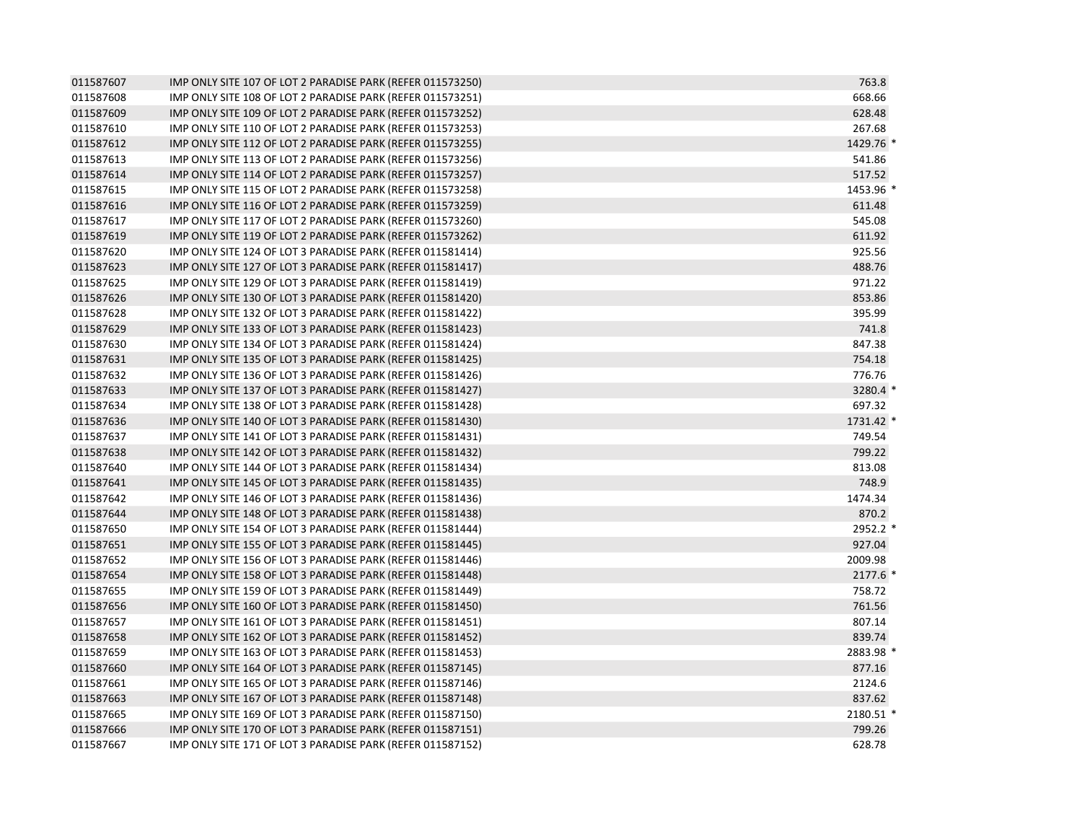| 011587607 | IMP ONLY SITE 107 OF LOT 2 PARADISE PARK (REFER 011573250) | 763.8     |
|-----------|------------------------------------------------------------|-----------|
| 011587608 | IMP ONLY SITE 108 OF LOT 2 PARADISE PARK (REFER 011573251) | 668.66    |
| 011587609 | IMP ONLY SITE 109 OF LOT 2 PARADISE PARK (REFER 011573252) | 628.48    |
| 011587610 | IMP ONLY SITE 110 OF LOT 2 PARADISE PARK (REFER 011573253) | 267.68    |
| 011587612 | IMP ONLY SITE 112 OF LOT 2 PARADISE PARK (REFER 011573255) | 1429.76 * |
| 011587613 | IMP ONLY SITE 113 OF LOT 2 PARADISE PARK (REFER 011573256) | 541.86    |
| 011587614 | IMP ONLY SITE 114 OF LOT 2 PARADISE PARK (REFER 011573257) | 517.52    |
| 011587615 | IMP ONLY SITE 115 OF LOT 2 PARADISE PARK (REFER 011573258) | 1453.96 * |
| 011587616 | IMP ONLY SITE 116 OF LOT 2 PARADISE PARK (REFER 011573259) | 611.48    |
| 011587617 | IMP ONLY SITE 117 OF LOT 2 PARADISE PARK (REFER 011573260) | 545.08    |
| 011587619 | IMP ONLY SITE 119 OF LOT 2 PARADISE PARK (REFER 011573262) | 611.92    |
| 011587620 | IMP ONLY SITE 124 OF LOT 3 PARADISE PARK (REFER 011581414) | 925.56    |
| 011587623 | IMP ONLY SITE 127 OF LOT 3 PARADISE PARK (REFER 011581417) | 488.76    |
| 011587625 | IMP ONLY SITE 129 OF LOT 3 PARADISE PARK (REFER 011581419) | 971.22    |
| 011587626 | IMP ONLY SITE 130 OF LOT 3 PARADISE PARK (REFER 011581420) | 853.86    |
| 011587628 | IMP ONLY SITE 132 OF LOT 3 PARADISE PARK (REFER 011581422) | 395.99    |
| 011587629 | IMP ONLY SITE 133 OF LOT 3 PARADISE PARK (REFER 011581423) | 741.8     |
| 011587630 | IMP ONLY SITE 134 OF LOT 3 PARADISE PARK (REFER 011581424) | 847.38    |
| 011587631 | IMP ONLY SITE 135 OF LOT 3 PARADISE PARK (REFER 011581425) | 754.18    |
| 011587632 | IMP ONLY SITE 136 OF LOT 3 PARADISE PARK (REFER 011581426) | 776.76    |
| 011587633 | IMP ONLY SITE 137 OF LOT 3 PARADISE PARK (REFER 011581427) | 3280.4 *  |
| 011587634 | IMP ONLY SITE 138 OF LOT 3 PARADISE PARK (REFER 011581428) | 697.32    |
| 011587636 | IMP ONLY SITE 140 OF LOT 3 PARADISE PARK (REFER 011581430) | 1731.42 * |
| 011587637 | IMP ONLY SITE 141 OF LOT 3 PARADISE PARK (REFER 011581431) | 749.54    |
| 011587638 | IMP ONLY SITE 142 OF LOT 3 PARADISE PARK (REFER 011581432) | 799.22    |
| 011587640 | IMP ONLY SITE 144 OF LOT 3 PARADISE PARK (REFER 011581434) | 813.08    |
| 011587641 | IMP ONLY SITE 145 OF LOT 3 PARADISE PARK (REFER 011581435) | 748.9     |
| 011587642 | IMP ONLY SITE 146 OF LOT 3 PARADISE PARK (REFER 011581436) | 1474.34   |
| 011587644 | IMP ONLY SITE 148 OF LOT 3 PARADISE PARK (REFER 011581438) | 870.2     |
| 011587650 | IMP ONLY SITE 154 OF LOT 3 PARADISE PARK (REFER 011581444) | 2952.2 *  |
| 011587651 | IMP ONLY SITE 155 OF LOT 3 PARADISE PARK (REFER 011581445) | 927.04    |
| 011587652 | IMP ONLY SITE 156 OF LOT 3 PARADISE PARK (REFER 011581446) | 2009.98   |
| 011587654 | IMP ONLY SITE 158 OF LOT 3 PARADISE PARK (REFER 011581448) | $2177.6*$ |
| 011587655 | IMP ONLY SITE 159 OF LOT 3 PARADISE PARK (REFER 011581449) | 758.72    |
| 011587656 | IMP ONLY SITE 160 OF LOT 3 PARADISE PARK (REFER 011581450) | 761.56    |
| 011587657 | IMP ONLY SITE 161 OF LOT 3 PARADISE PARK (REFER 011581451) | 807.14    |
| 011587658 | IMP ONLY SITE 162 OF LOT 3 PARADISE PARK (REFER 011581452) | 839.74    |
| 011587659 | IMP ONLY SITE 163 OF LOT 3 PARADISE PARK (REFER 011581453) | 2883.98 * |
| 011587660 | IMP ONLY SITE 164 OF LOT 3 PARADISE PARK (REFER 011587145) | 877.16    |
| 011587661 | IMP ONLY SITE 165 OF LOT 3 PARADISE PARK (REFER 011587146) | 2124.6    |
| 011587663 | IMP ONLY SITE 167 OF LOT 3 PARADISE PARK (REFER 011587148) | 837.62    |
| 011587665 | IMP ONLY SITE 169 OF LOT 3 PARADISE PARK (REFER 011587150) | 2180.51 * |
| 011587666 | IMP ONLY SITE 170 OF LOT 3 PARADISE PARK (REFER 011587151) | 799.26    |
| 011587667 | IMP ONLY SITE 171 OF LOT 3 PARADISE PARK (REFER 011587152) | 628.78    |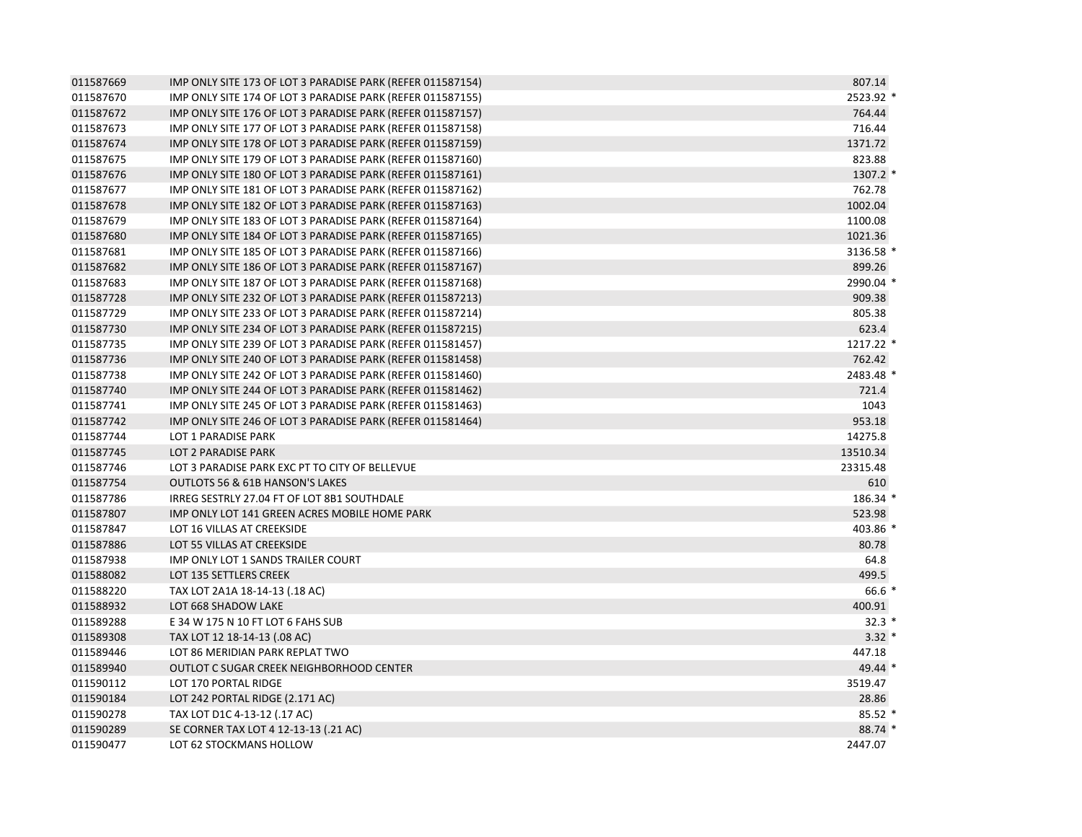| 011587669 | IMP ONLY SITE 173 OF LOT 3 PARADISE PARK (REFER 011587154) | 807.14    |
|-----------|------------------------------------------------------------|-----------|
| 011587670 | IMP ONLY SITE 174 OF LOT 3 PARADISE PARK (REFER 011587155) | 2523.92 * |
| 011587672 | IMP ONLY SITE 176 OF LOT 3 PARADISE PARK (REFER 011587157) | 764.44    |
| 011587673 | IMP ONLY SITE 177 OF LOT 3 PARADISE PARK (REFER 011587158) | 716.44    |
| 011587674 | IMP ONLY SITE 178 OF LOT 3 PARADISE PARK (REFER 011587159) | 1371.72   |
| 011587675 | IMP ONLY SITE 179 OF LOT 3 PARADISE PARK (REFER 011587160) | 823.88    |
| 011587676 | IMP ONLY SITE 180 OF LOT 3 PARADISE PARK (REFER 011587161) | 1307.2 *  |
| 011587677 | IMP ONLY SITE 181 OF LOT 3 PARADISE PARK (REFER 011587162) | 762.78    |
| 011587678 | IMP ONLY SITE 182 OF LOT 3 PARADISE PARK (REFER 011587163) | 1002.04   |
| 011587679 | IMP ONLY SITE 183 OF LOT 3 PARADISE PARK (REFER 011587164) | 1100.08   |
| 011587680 | IMP ONLY SITE 184 OF LOT 3 PARADISE PARK (REFER 011587165) | 1021.36   |
| 011587681 | IMP ONLY SITE 185 OF LOT 3 PARADISE PARK (REFER 011587166) | 3136.58 * |
| 011587682 | IMP ONLY SITE 186 OF LOT 3 PARADISE PARK (REFER 011587167) | 899.26    |
| 011587683 | IMP ONLY SITE 187 OF LOT 3 PARADISE PARK (REFER 011587168) | 2990.04 * |
| 011587728 | IMP ONLY SITE 232 OF LOT 3 PARADISE PARK (REFER 011587213) | 909.38    |
| 011587729 | IMP ONLY SITE 233 OF LOT 3 PARADISE PARK (REFER 011587214) | 805.38    |
| 011587730 | IMP ONLY SITE 234 OF LOT 3 PARADISE PARK (REFER 011587215) | 623.4     |
| 011587735 | IMP ONLY SITE 239 OF LOT 3 PARADISE PARK (REFER 011581457) | 1217.22 * |
| 011587736 | IMP ONLY SITE 240 OF LOT 3 PARADISE PARK (REFER 011581458) | 762.42    |
| 011587738 | IMP ONLY SITE 242 OF LOT 3 PARADISE PARK (REFER 011581460) | 2483.48 * |
| 011587740 | IMP ONLY SITE 244 OF LOT 3 PARADISE PARK (REFER 011581462) | 721.4     |
| 011587741 | IMP ONLY SITE 245 OF LOT 3 PARADISE PARK (REFER 011581463) | 1043      |
| 011587742 | IMP ONLY SITE 246 OF LOT 3 PARADISE PARK (REFER 011581464) | 953.18    |
| 011587744 | LOT 1 PARADISE PARK                                        | 14275.8   |
| 011587745 | LOT 2 PARADISE PARK                                        | 13510.34  |
| 011587746 | LOT 3 PARADISE PARK EXC PT TO CITY OF BELLEVUE             | 23315.48  |
| 011587754 | <b>OUTLOTS 56 &amp; 61B HANSON'S LAKES</b>                 | 610       |
| 011587786 | IRREG SESTRLY 27.04 FT OF LOT 8B1 SOUTHDALE                | 186.34 *  |
| 011587807 | IMP ONLY LOT 141 GREEN ACRES MOBILE HOME PARK              | 523.98    |
| 011587847 | LOT 16 VILLAS AT CREEKSIDE                                 | 403.86 *  |
| 011587886 | LOT 55 VILLAS AT CREEKSIDE                                 | 80.78     |
| 011587938 | <b>IMP ONLY LOT 1 SANDS TRAILER COURT</b>                  | 64.8      |
| 011588082 | LOT 135 SETTLERS CREEK                                     | 499.5     |
| 011588220 | TAX LOT 2A1A 18-14-13 (.18 AC)                             | $66.6*$   |
| 011588932 | LOT 668 SHADOW LAKE                                        | 400.91    |
| 011589288 | E 34 W 175 N 10 FT LOT 6 FAHS SUB                          | $32.3*$   |
| 011589308 | TAX LOT 12 18-14-13 (.08 AC)                               | $3.32*$   |
| 011589446 | LOT 86 MERIDIAN PARK REPLAT TWO                            | 447.18    |
| 011589940 | OUTLOT C SUGAR CREEK NEIGHBORHOOD CENTER                   | 49.44 *   |
| 011590112 | LOT 170 PORTAL RIDGE                                       | 3519.47   |
| 011590184 | LOT 242 PORTAL RIDGE (2.171 AC)                            | 28.86     |
| 011590278 | TAX LOT D1C 4-13-12 (.17 AC)                               | $85.52*$  |
| 011590289 | SE CORNER TAX LOT 4 12-13-13 (.21 AC)                      | 88.74 *   |
| 011590477 | LOT 62 STOCKMANS HOLLOW                                    | 2447.07   |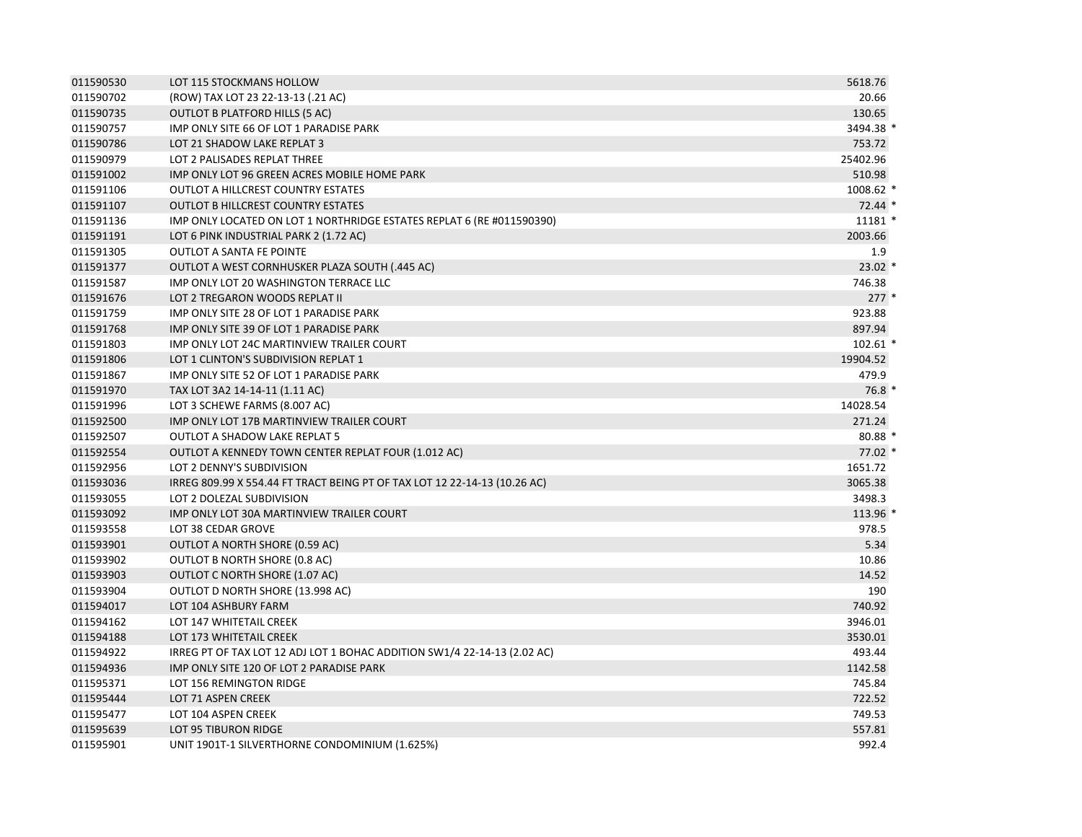| 011590530 | LOT 115 STOCKMANS HOLLOW                                                  | 5618.76    |
|-----------|---------------------------------------------------------------------------|------------|
| 011590702 | (ROW) TAX LOT 23 22-13-13 (.21 AC)                                        | 20.66      |
| 011590735 | OUTLOT B PLATFORD HILLS (5 AC)                                            | 130.65     |
| 011590757 | IMP ONLY SITE 66 OF LOT 1 PARADISE PARK                                   | 3494.38 *  |
| 011590786 | LOT 21 SHADOW LAKE REPLAT 3                                               | 753.72     |
| 011590979 | LOT 2 PALISADES REPLAT THREE                                              | 25402.96   |
| 011591002 | IMP ONLY LOT 96 GREEN ACRES MOBILE HOME PARK                              | 510.98     |
| 011591106 | OUTLOT A HILLCREST COUNTRY ESTATES                                        | 1008.62 *  |
| 011591107 | <b>OUTLOT B HILLCREST COUNTRY ESTATES</b>                                 | 72.44 *    |
| 011591136 | IMP ONLY LOCATED ON LOT 1 NORTHRIDGE ESTATES REPLAT 6 (RE #011590390)     | 11181 *    |
| 011591191 | LOT 6 PINK INDUSTRIAL PARK 2 (1.72 AC)                                    | 2003.66    |
| 011591305 | <b>OUTLOT A SANTA FE POINTE</b>                                           | 1.9        |
| 011591377 | OUTLOT A WEST CORNHUSKER PLAZA SOUTH (.445 AC)                            | $23.02*$   |
| 011591587 | IMP ONLY LOT 20 WASHINGTON TERRACE LLC                                    | 746.38     |
| 011591676 | LOT 2 TREGARON WOODS REPLAT II                                            | $277*$     |
| 011591759 | IMP ONLY SITE 28 OF LOT 1 PARADISE PARK                                   | 923.88     |
| 011591768 | IMP ONLY SITE 39 OF LOT 1 PARADISE PARK                                   | 897.94     |
| 011591803 | IMP ONLY LOT 24C MARTINVIEW TRAILER COURT                                 | $102.61$ * |
| 011591806 | LOT 1 CLINTON'S SUBDIVISION REPLAT 1                                      | 19904.52   |
| 011591867 | IMP ONLY SITE 52 OF LOT 1 PARADISE PARK                                   | 479.9      |
| 011591970 | TAX LOT 3A2 14-14-11 (1.11 AC)                                            | $76.8*$    |
| 011591996 | LOT 3 SCHEWE FARMS (8.007 AC)                                             | 14028.54   |
| 011592500 | IMP ONLY LOT 17B MARTINVIEW TRAILER COURT                                 | 271.24     |
| 011592507 | <b>OUTLOT A SHADOW LAKE REPLAT 5</b>                                      | 80.88 *    |
| 011592554 | OUTLOT A KENNEDY TOWN CENTER REPLAT FOUR (1.012 AC)                       | $77.02*$   |
| 011592956 | LOT 2 DENNY'S SUBDIVISION                                                 | 1651.72    |
| 011593036 | IRREG 809.99 X 554.44 FT TRACT BEING PT OF TAX LOT 12 22-14-13 (10.26 AC) | 3065.38    |
| 011593055 | LOT 2 DOLEZAL SUBDIVISION                                                 | 3498.3     |
| 011593092 | IMP ONLY LOT 30A MARTINVIEW TRAILER COURT                                 | 113.96 *   |
| 011593558 | LOT 38 CEDAR GROVE                                                        | 978.5      |
| 011593901 | OUTLOT A NORTH SHORE (0.59 AC)                                            | 5.34       |
| 011593902 | OUTLOT B NORTH SHORE (0.8 AC)                                             | 10.86      |
| 011593903 | OUTLOT C NORTH SHORE (1.07 AC)                                            | 14.52      |
| 011593904 | OUTLOT D NORTH SHORE (13.998 AC)                                          | 190        |
| 011594017 | LOT 104 ASHBURY FARM                                                      | 740.92     |
| 011594162 | LOT 147 WHITETAIL CREEK                                                   | 3946.01    |
| 011594188 | LOT 173 WHITETAIL CREEK                                                   | 3530.01    |
| 011594922 | IRREG PT OF TAX LOT 12 ADJ LOT 1 BOHAC ADDITION SW1/4 22-14-13 (2.02 AC)  | 493.44     |
| 011594936 | IMP ONLY SITE 120 OF LOT 2 PARADISE PARK                                  | 1142.58    |
| 011595371 | LOT 156 REMINGTON RIDGE                                                   | 745.84     |
| 011595444 | LOT 71 ASPEN CREEK                                                        | 722.52     |
| 011595477 | LOT 104 ASPEN CREEK                                                       | 749.53     |
| 011595639 | <b>LOT 95 TIBURON RIDGE</b>                                               | 557.81     |
| 011595901 | UNIT 1901T-1 SILVERTHORNE CONDOMINIUM (1.625%)                            | 992.4      |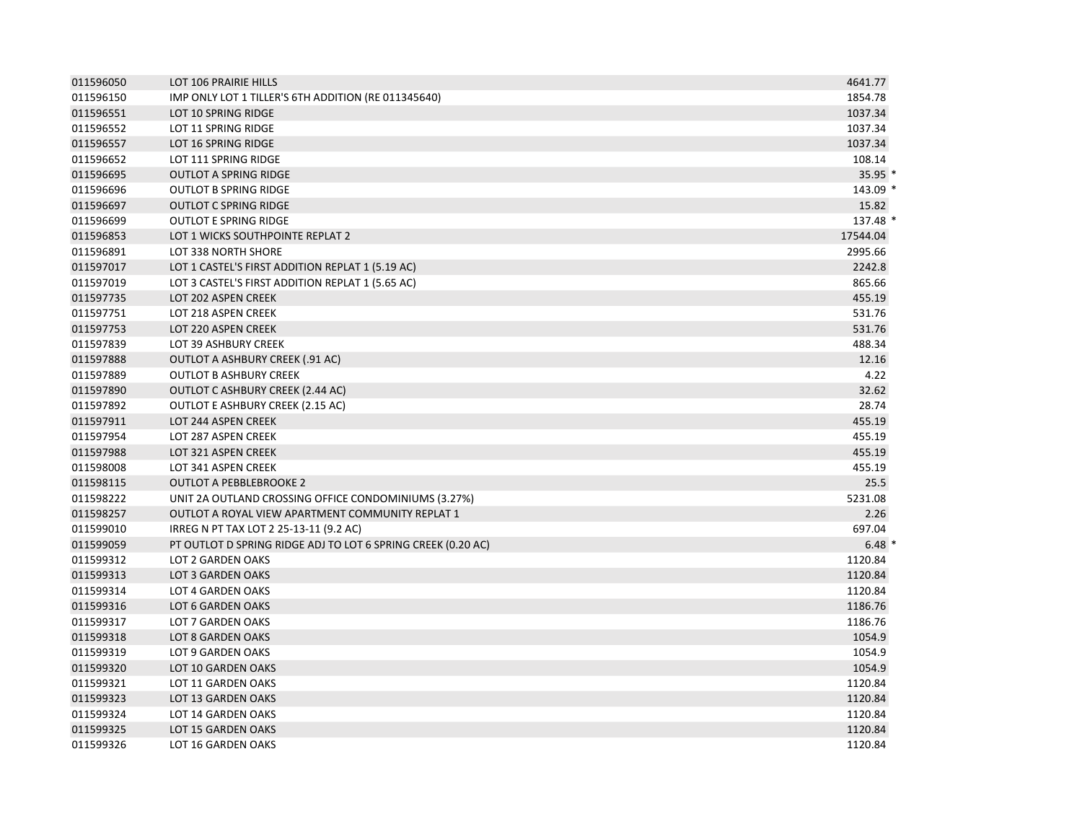| 011596050 | LOT 106 PRAIRIE HILLS                                        | 4641.77  |  |
|-----------|--------------------------------------------------------------|----------|--|
| 011596150 | IMP ONLY LOT 1 TILLER'S 6TH ADDITION (RE 011345640)          | 1854.78  |  |
| 011596551 | LOT 10 SPRING RIDGE                                          | 1037.34  |  |
| 011596552 | LOT 11 SPRING RIDGE                                          | 1037.34  |  |
| 011596557 | LOT 16 SPRING RIDGE                                          | 1037.34  |  |
| 011596652 | <b>LOT 111 SPRING RIDGE</b>                                  | 108.14   |  |
| 011596695 | <b>OUTLOT A SPRING RIDGE</b>                                 | $35.95*$ |  |
| 011596696 | <b>OUTLOT B SPRING RIDGE</b>                                 | 143.09 * |  |
| 011596697 | <b>OUTLOT C SPRING RIDGE</b>                                 | 15.82    |  |
| 011596699 | <b>OUTLOT E SPRING RIDGE</b>                                 | 137.48 * |  |
| 011596853 | LOT 1 WICKS SOUTHPOINTE REPLAT 2                             | 17544.04 |  |
| 011596891 | LOT 338 NORTH SHORE                                          | 2995.66  |  |
| 011597017 | LOT 1 CASTEL'S FIRST ADDITION REPLAT 1 (5.19 AC)             | 2242.8   |  |
| 011597019 | LOT 3 CASTEL'S FIRST ADDITION REPLAT 1 (5.65 AC)             | 865.66   |  |
| 011597735 | LOT 202 ASPEN CREEK                                          | 455.19   |  |
| 011597751 | LOT 218 ASPEN CREEK                                          | 531.76   |  |
| 011597753 | LOT 220 ASPEN CREEK                                          | 531.76   |  |
| 011597839 | LOT 39 ASHBURY CREEK                                         | 488.34   |  |
| 011597888 | <b>OUTLOT A ASHBURY CREEK (.91 AC)</b>                       | 12.16    |  |
| 011597889 | <b>OUTLOT B ASHBURY CREEK</b>                                | 4.22     |  |
| 011597890 | <b>OUTLOT C ASHBURY CREEK (2.44 AC)</b>                      | 32.62    |  |
| 011597892 | <b>OUTLOT E ASHBURY CREEK (2.15 AC)</b>                      | 28.74    |  |
| 011597911 | LOT 244 ASPEN CREEK                                          | 455.19   |  |
| 011597954 | LOT 287 ASPEN CREEK                                          | 455.19   |  |
| 011597988 | LOT 321 ASPEN CREEK                                          | 455.19   |  |
| 011598008 | LOT 341 ASPEN CREEK                                          | 455.19   |  |
| 011598115 | <b>OUTLOT A PEBBLEBROOKE 2</b>                               | 25.5     |  |
| 011598222 | UNIT 2A OUTLAND CROSSING OFFICE CONDOMINIUMS (3.27%)         | 5231.08  |  |
| 011598257 | OUTLOT A ROYAL VIEW APARTMENT COMMUNITY REPLAT 1             | 2.26     |  |
| 011599010 | IRREG N PT TAX LOT 2 25-13-11 (9.2 AC)                       | 697.04   |  |
| 011599059 | PT OUTLOT D SPRING RIDGE ADJ TO LOT 6 SPRING CREEK (0.20 AC) | $6.48*$  |  |
| 011599312 | <b>LOT 2 GARDEN OAKS</b>                                     | 1120.84  |  |
| 011599313 | <b>LOT 3 GARDEN OAKS</b>                                     | 1120.84  |  |
| 011599314 | LOT 4 GARDEN OAKS                                            | 1120.84  |  |
| 011599316 | LOT 6 GARDEN OAKS                                            | 1186.76  |  |
| 011599317 | LOT 7 GARDEN OAKS                                            | 1186.76  |  |
| 011599318 | LOT 8 GARDEN OAKS                                            | 1054.9   |  |
| 011599319 | LOT 9 GARDEN OAKS                                            | 1054.9   |  |
| 011599320 | LOT 10 GARDEN OAKS                                           | 1054.9   |  |
| 011599321 | LOT 11 GARDEN OAKS                                           | 1120.84  |  |
| 011599323 | LOT 13 GARDEN OAKS                                           | 1120.84  |  |
| 011599324 | LOT 14 GARDEN OAKS                                           | 1120.84  |  |
| 011599325 | LOT 15 GARDEN OAKS                                           | 1120.84  |  |
| 011599326 | LOT 16 GARDEN OAKS                                           | 1120.84  |  |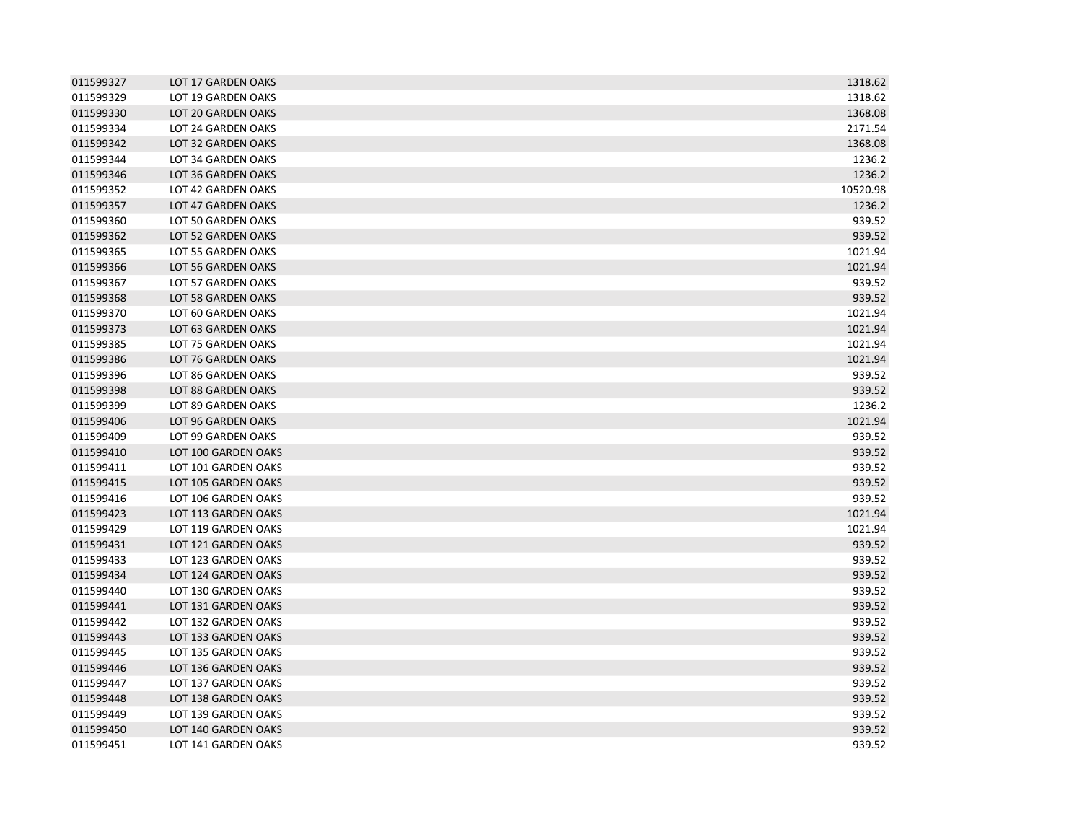| 011599327 | LOT 17 GARDEN OAKS  | 1318.62  |
|-----------|---------------------|----------|
| 011599329 | LOT 19 GARDEN OAKS  | 1318.62  |
| 011599330 | LOT 20 GARDEN OAKS  | 1368.08  |
| 011599334 | LOT 24 GARDEN OAKS  | 2171.54  |
| 011599342 | LOT 32 GARDEN OAKS  | 1368.08  |
| 011599344 | LOT 34 GARDEN OAKS  | 1236.2   |
| 011599346 | LOT 36 GARDEN OAKS  | 1236.2   |
| 011599352 | LOT 42 GARDEN OAKS  | 10520.98 |
| 011599357 | LOT 47 GARDEN OAKS  | 1236.2   |
| 011599360 | LOT 50 GARDEN OAKS  | 939.52   |
| 011599362 | LOT 52 GARDEN OAKS  | 939.52   |
| 011599365 | LOT 55 GARDEN OAKS  | 1021.94  |
| 011599366 | LOT 56 GARDEN OAKS  | 1021.94  |
| 011599367 | LOT 57 GARDEN OAKS  | 939.52   |
| 011599368 | LOT 58 GARDEN OAKS  | 939.52   |
| 011599370 | LOT 60 GARDEN OAKS  | 1021.94  |
| 011599373 | LOT 63 GARDEN OAKS  | 1021.94  |
| 011599385 | LOT 75 GARDEN OAKS  | 1021.94  |
| 011599386 | LOT 76 GARDEN OAKS  | 1021.94  |
| 011599396 | LOT 86 GARDEN OAKS  | 939.52   |
| 011599398 | LOT 88 GARDEN OAKS  | 939.52   |
| 011599399 | LOT 89 GARDEN OAKS  | 1236.2   |
| 011599406 | LOT 96 GARDEN OAKS  | 1021.94  |
| 011599409 | LOT 99 GARDEN OAKS  | 939.52   |
| 011599410 | LOT 100 GARDEN OAKS | 939.52   |
| 011599411 | LOT 101 GARDEN OAKS | 939.52   |
| 011599415 | LOT 105 GARDEN OAKS | 939.52   |
| 011599416 | LOT 106 GARDEN OAKS | 939.52   |
| 011599423 | LOT 113 GARDEN OAKS | 1021.94  |
| 011599429 | LOT 119 GARDEN OAKS | 1021.94  |
| 011599431 | LOT 121 GARDEN OAKS | 939.52   |
| 011599433 | LOT 123 GARDEN OAKS | 939.52   |
| 011599434 | LOT 124 GARDEN OAKS | 939.52   |
| 011599440 | LOT 130 GARDEN OAKS | 939.52   |
| 011599441 | LOT 131 GARDEN OAKS | 939.52   |
| 011599442 | LOT 132 GARDEN OAKS | 939.52   |
| 011599443 | LOT 133 GARDEN OAKS | 939.52   |
| 011599445 | LOT 135 GARDEN OAKS | 939.52   |
| 011599446 | LOT 136 GARDEN OAKS | 939.52   |
| 011599447 | LOT 137 GARDEN OAKS | 939.52   |
| 011599448 | LOT 138 GARDEN OAKS | 939.52   |
| 011599449 | LOT 139 GARDEN OAKS | 939.52   |
| 011599450 | LOT 140 GARDEN OAKS | 939.52   |
| 011599451 | LOT 141 GARDEN OAKS | 939.52   |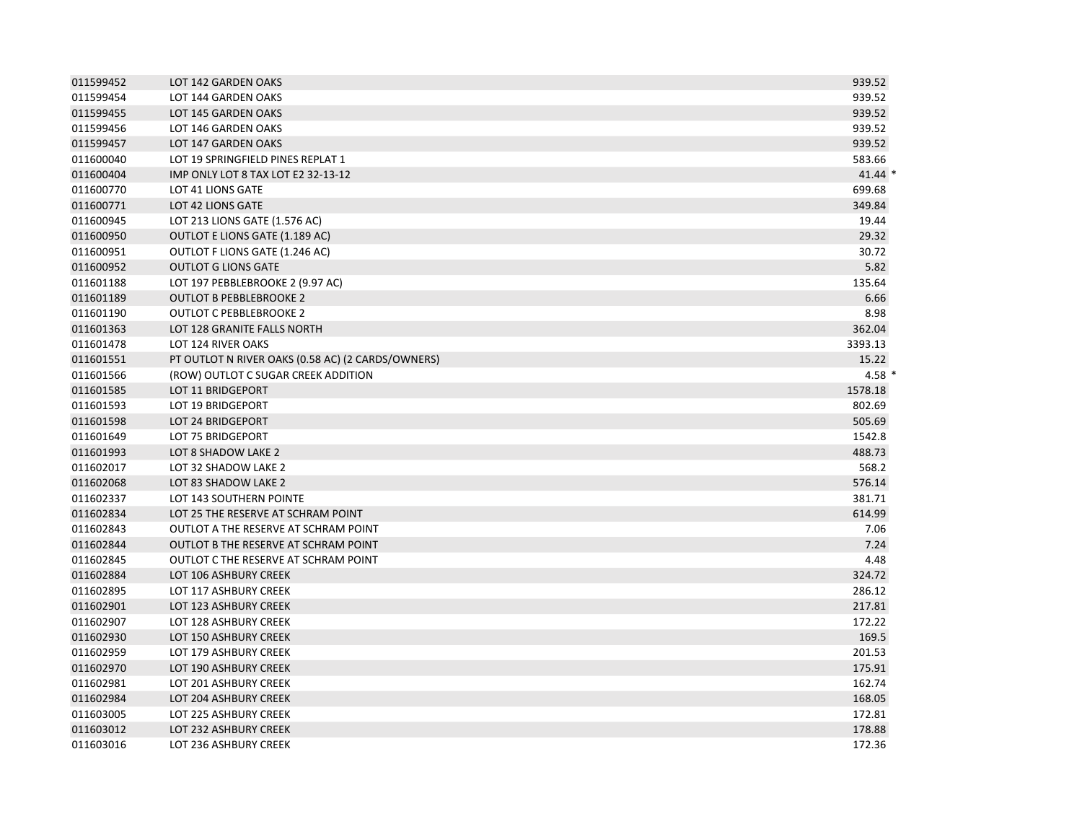| 011599452 | LOT 142 GARDEN OAKS                               | 939.52     |
|-----------|---------------------------------------------------|------------|
| 011599454 | LOT 144 GARDEN OAKS                               | 939.52     |
| 011599455 | LOT 145 GARDEN OAKS                               | 939.52     |
| 011599456 | LOT 146 GARDEN OAKS                               | 939.52     |
| 011599457 | LOT 147 GARDEN OAKS                               | 939.52     |
| 011600040 | LOT 19 SPRINGFIELD PINES REPLAT 1                 | 583.66     |
| 011600404 | IMP ONLY LOT 8 TAX LOT E2 32-13-12                | $41.44*$   |
| 011600770 | LOT 41 LIONS GATE                                 | 699.68     |
| 011600771 | LOT 42 LIONS GATE                                 | 349.84     |
| 011600945 | LOT 213 LIONS GATE (1.576 AC)                     | 19.44      |
| 011600950 | OUTLOT E LIONS GATE (1.189 AC)                    | 29.32      |
| 011600951 | OUTLOT F LIONS GATE (1.246 AC)                    | 30.72      |
| 011600952 | <b>OUTLOT G LIONS GATE</b>                        | 5.82       |
| 011601188 | LOT 197 PEBBLEBROOKE 2 (9.97 AC)                  | 135.64     |
| 011601189 | <b>OUTLOT B PEBBLEBROOKE 2</b>                    | 6.66       |
| 011601190 | <b>OUTLOT C PEBBLEBROOKE 2</b>                    | 8.98       |
| 011601363 | LOT 128 GRANITE FALLS NORTH                       | 362.04     |
| 011601478 | LOT 124 RIVER OAKS                                | 3393.13    |
| 011601551 | PT OUTLOT N RIVER OAKS (0.58 AC) (2 CARDS/OWNERS) | 15.22      |
| 011601566 | (ROW) OUTLOT C SUGAR CREEK ADDITION               | $4.58$ $*$ |
| 011601585 | <b>LOT 11 BRIDGEPORT</b>                          | 1578.18    |
| 011601593 | <b>LOT 19 BRIDGEPORT</b>                          | 802.69     |
| 011601598 | LOT 24 BRIDGEPORT                                 | 505.69     |
| 011601649 | LOT 75 BRIDGEPORT                                 | 1542.8     |
| 011601993 | LOT 8 SHADOW LAKE 2                               | 488.73     |
| 011602017 | LOT 32 SHADOW LAKE 2                              | 568.2      |
| 011602068 | LOT 83 SHADOW LAKE 2                              | 576.14     |
| 011602337 | LOT 143 SOUTHERN POINTE                           | 381.71     |
| 011602834 | LOT 25 THE RESERVE AT SCHRAM POINT                | 614.99     |
| 011602843 | OUTLOT A THE RESERVE AT SCHRAM POINT              | 7.06       |
| 011602844 | <b>OUTLOT B THE RESERVE AT SCHRAM POINT</b>       | 7.24       |
| 011602845 | OUTLOT C THE RESERVE AT SCHRAM POINT              | 4.48       |
| 011602884 | LOT 106 ASHBURY CREEK                             | 324.72     |
| 011602895 | LOT 117 ASHBURY CREEK                             | 286.12     |
| 011602901 | LOT 123 ASHBURY CREEK                             | 217.81     |
| 011602907 | LOT 128 ASHBURY CREEK                             | 172.22     |
| 011602930 | <b>LOT 150 ASHBURY CREEK</b>                      | 169.5      |
| 011602959 | LOT 179 ASHBURY CREEK                             | 201.53     |
| 011602970 | LOT 190 ASHBURY CREEK                             | 175.91     |
| 011602981 | LOT 201 ASHBURY CREEK                             | 162.74     |
| 011602984 | LOT 204 ASHBURY CREEK                             | 168.05     |
| 011603005 | LOT 225 ASHBURY CREEK                             | 172.81     |
| 011603012 | LOT 232 ASHBURY CREEK                             | 178.88     |
| 011603016 | LOT 236 ASHBURY CREEK                             | 172.36     |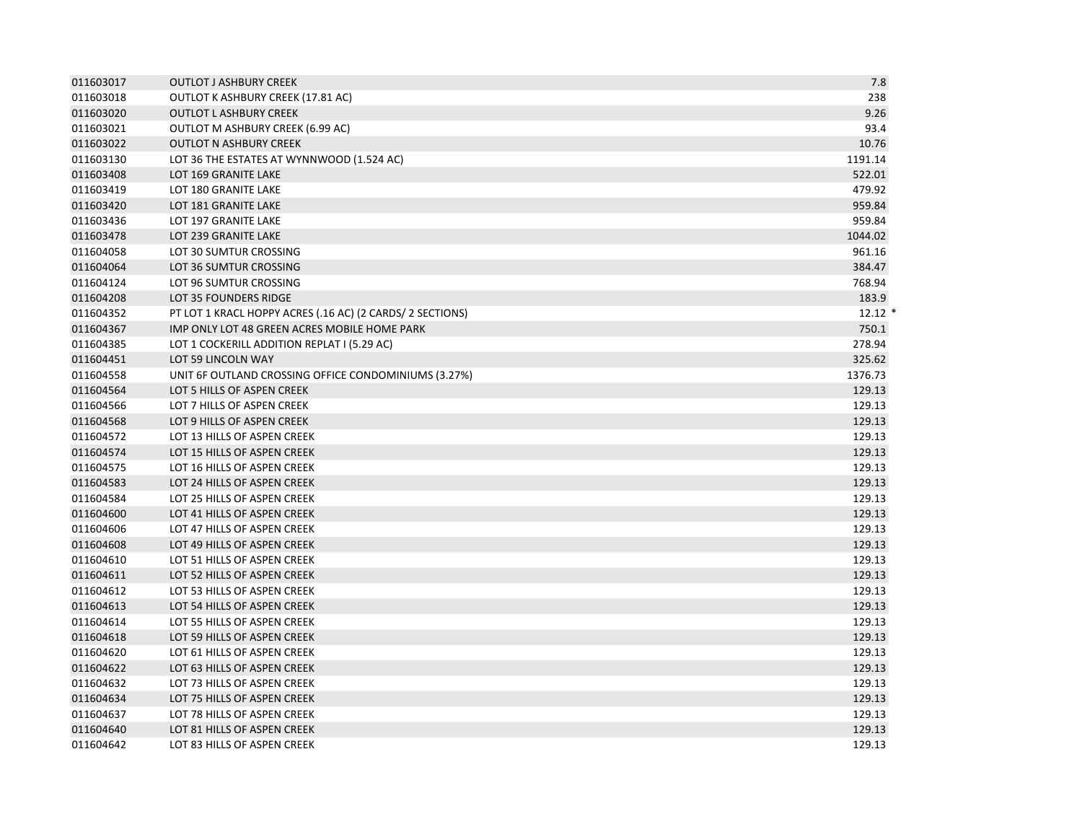| 011603017 | <b>OUTLOT J ASHBURY CREEK</b>                             | 7.8      |
|-----------|-----------------------------------------------------------|----------|
| 011603018 | OUTLOT K ASHBURY CREEK (17.81 AC)                         | 238      |
| 011603020 | <b>OUTLOT L ASHBURY CREEK</b>                             | 9.26     |
| 011603021 | OUTLOT M ASHBURY CREEK (6.99 AC)                          | 93.4     |
| 011603022 | <b>OUTLOT N ASHBURY CREEK</b>                             | 10.76    |
| 011603130 | LOT 36 THE ESTATES AT WYNNWOOD (1.524 AC)                 | 1191.14  |
| 011603408 | LOT 169 GRANITE LAKE                                      | 522.01   |
| 011603419 | LOT 180 GRANITE LAKE                                      | 479.92   |
| 011603420 | LOT 181 GRANITE LAKE                                      | 959.84   |
| 011603436 | LOT 197 GRANITE LAKE                                      | 959.84   |
| 011603478 | LOT 239 GRANITE LAKE                                      | 1044.02  |
| 011604058 | LOT 30 SUMTUR CROSSING                                    | 961.16   |
| 011604064 | LOT 36 SUMTUR CROSSING                                    | 384.47   |
| 011604124 | LOT 96 SUMTUR CROSSING                                    | 768.94   |
| 011604208 | LOT 35 FOUNDERS RIDGE                                     | 183.9    |
| 011604352 | PT LOT 1 KRACL HOPPY ACRES (.16 AC) (2 CARDS/ 2 SECTIONS) | $12.12*$ |
| 011604367 | IMP ONLY LOT 48 GREEN ACRES MOBILE HOME PARK              | 750.1    |
| 011604385 | LOT 1 COCKERILL ADDITION REPLAT I (5.29 AC)               | 278.94   |
| 011604451 | LOT 59 LINCOLN WAY                                        | 325.62   |
| 011604558 | UNIT 6F OUTLAND CROSSING OFFICE CONDOMINIUMS (3.27%)      | 1376.73  |
| 011604564 | LOT 5 HILLS OF ASPEN CREEK                                | 129.13   |
| 011604566 | LOT 7 HILLS OF ASPEN CREEK                                | 129.13   |
| 011604568 | LOT 9 HILLS OF ASPEN CREEK                                | 129.13   |
| 011604572 | LOT 13 HILLS OF ASPEN CREEK                               | 129.13   |
| 011604574 | LOT 15 HILLS OF ASPEN CREEK                               | 129.13   |
| 011604575 | LOT 16 HILLS OF ASPEN CREEK                               | 129.13   |
| 011604583 | LOT 24 HILLS OF ASPEN CREEK                               | 129.13   |
| 011604584 | LOT 25 HILLS OF ASPEN CREEK                               | 129.13   |
| 011604600 | LOT 41 HILLS OF ASPEN CREEK                               | 129.13   |
| 011604606 | LOT 47 HILLS OF ASPEN CREEK                               | 129.13   |
| 011604608 | LOT 49 HILLS OF ASPEN CREEK                               | 129.13   |
| 011604610 | LOT 51 HILLS OF ASPEN CREEK                               | 129.13   |
| 011604611 | LOT 52 HILLS OF ASPEN CREEK                               | 129.13   |
| 011604612 | LOT 53 HILLS OF ASPEN CREEK                               | 129.13   |
| 011604613 | LOT 54 HILLS OF ASPEN CREEK                               | 129.13   |
| 011604614 | LOT 55 HILLS OF ASPEN CREEK                               | 129.13   |
| 011604618 | LOT 59 HILLS OF ASPEN CREEK                               | 129.13   |
| 011604620 | LOT 61 HILLS OF ASPEN CREEK                               | 129.13   |
| 011604622 | LOT 63 HILLS OF ASPEN CREEK                               | 129.13   |
| 011604632 | LOT 73 HILLS OF ASPEN CREEK                               | 129.13   |
| 011604634 | LOT 75 HILLS OF ASPEN CREEK                               | 129.13   |
| 011604637 | LOT 78 HILLS OF ASPEN CREEK                               | 129.13   |
| 011604640 | LOT 81 HILLS OF ASPEN CREEK                               | 129.13   |
| 011604642 | LOT 83 HILLS OF ASPEN CREEK                               | 129.13   |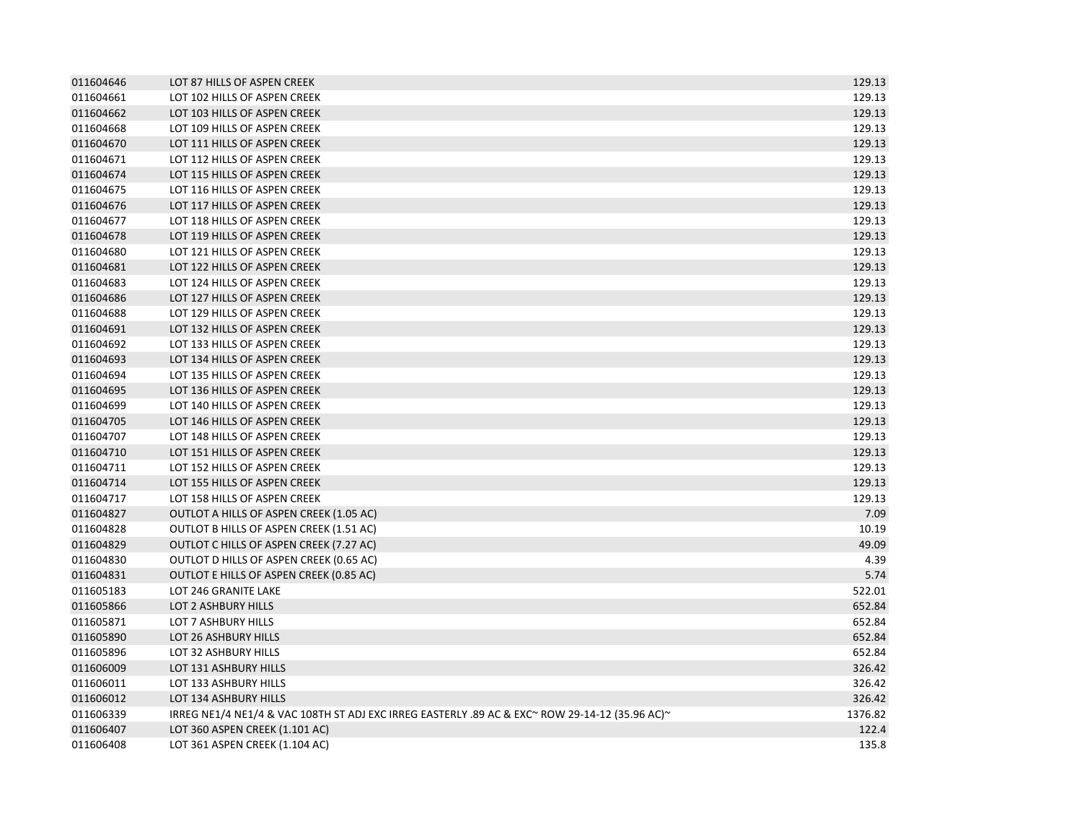| 011604646 | LOT 87 HILLS OF ASPEN CREEK                                                                   | 129.13  |
|-----------|-----------------------------------------------------------------------------------------------|---------|
| 011604661 | LOT 102 HILLS OF ASPEN CREEK                                                                  | 129.13  |
| 011604662 | LOT 103 HILLS OF ASPEN CREEK                                                                  | 129.13  |
| 011604668 | LOT 109 HILLS OF ASPEN CREEK                                                                  | 129.13  |
| 011604670 | LOT 111 HILLS OF ASPEN CREEK                                                                  | 129.13  |
| 011604671 | LOT 112 HILLS OF ASPEN CREEK                                                                  | 129.13  |
| 011604674 | LOT 115 HILLS OF ASPEN CREEK                                                                  | 129.13  |
| 011604675 | LOT 116 HILLS OF ASPEN CREEK                                                                  | 129.13  |
| 011604676 | LOT 117 HILLS OF ASPEN CREEK                                                                  | 129.13  |
| 011604677 | LOT 118 HILLS OF ASPEN CREEK                                                                  | 129.13  |
| 011604678 | LOT 119 HILLS OF ASPEN CREEK                                                                  | 129.13  |
| 011604680 | LOT 121 HILLS OF ASPEN CREEK                                                                  | 129.13  |
| 011604681 | LOT 122 HILLS OF ASPEN CREEK                                                                  | 129.13  |
| 011604683 | LOT 124 HILLS OF ASPEN CREEK                                                                  | 129.13  |
| 011604686 | LOT 127 HILLS OF ASPEN CREEK                                                                  | 129.13  |
| 011604688 | LOT 129 HILLS OF ASPEN CREEK                                                                  | 129.13  |
| 011604691 | LOT 132 HILLS OF ASPEN CREEK                                                                  | 129.13  |
| 011604692 | LOT 133 HILLS OF ASPEN CREEK                                                                  | 129.13  |
| 011604693 | LOT 134 HILLS OF ASPEN CREEK                                                                  | 129.13  |
| 011604694 | LOT 135 HILLS OF ASPEN CREEK                                                                  | 129.13  |
| 011604695 | LOT 136 HILLS OF ASPEN CREEK                                                                  | 129.13  |
| 011604699 | LOT 140 HILLS OF ASPEN CREEK                                                                  | 129.13  |
| 011604705 | LOT 146 HILLS OF ASPEN CREEK                                                                  | 129.13  |
| 011604707 | LOT 148 HILLS OF ASPEN CREEK                                                                  | 129.13  |
| 011604710 | LOT 151 HILLS OF ASPEN CREEK                                                                  | 129.13  |
| 011604711 | LOT 152 HILLS OF ASPEN CREEK                                                                  | 129.13  |
| 011604714 | LOT 155 HILLS OF ASPEN CREEK                                                                  | 129.13  |
| 011604717 | LOT 158 HILLS OF ASPEN CREEK                                                                  | 129.13  |
| 011604827 | OUTLOT A HILLS OF ASPEN CREEK (1.05 AC)                                                       | 7.09    |
| 011604828 | OUTLOT B HILLS OF ASPEN CREEK (1.51 AC)                                                       | 10.19   |
| 011604829 | OUTLOT C HILLS OF ASPEN CREEK (7.27 AC)                                                       | 49.09   |
| 011604830 | OUTLOT D HILLS OF ASPEN CREEK (0.65 AC)                                                       | 4.39    |
| 011604831 | OUTLOT E HILLS OF ASPEN CREEK (0.85 AC)                                                       | 5.74    |
| 011605183 | LOT 246 GRANITE LAKE                                                                          | 522.01  |
| 011605866 | LOT 2 ASHBURY HILLS                                                                           | 652.84  |
| 011605871 | LOT 7 ASHBURY HILLS                                                                           | 652.84  |
| 011605890 | LOT 26 ASHBURY HILLS                                                                          | 652.84  |
| 011605896 | LOT 32 ASHBURY HILLS                                                                          | 652.84  |
| 011606009 | LOT 131 ASHBURY HILLS                                                                         | 326.42  |
| 011606011 | LOT 133 ASHBURY HILLS                                                                         | 326.42  |
| 011606012 | LOT 134 ASHBURY HILLS                                                                         | 326.42  |
| 011606339 | PREG NE1/4 NE1/4 & VAC 108TH ST ADJ EXC IRREG EASTERLY .89 AC & EXC~ ROW 29-14-12 (35.96 AC)~ | 1376.82 |
| 011606407 | LOT 360 ASPEN CREEK (1.101 AC)                                                                | 122.4   |
| 011606408 | LOT 361 ASPEN CREEK (1.104 AC)                                                                | 135.8   |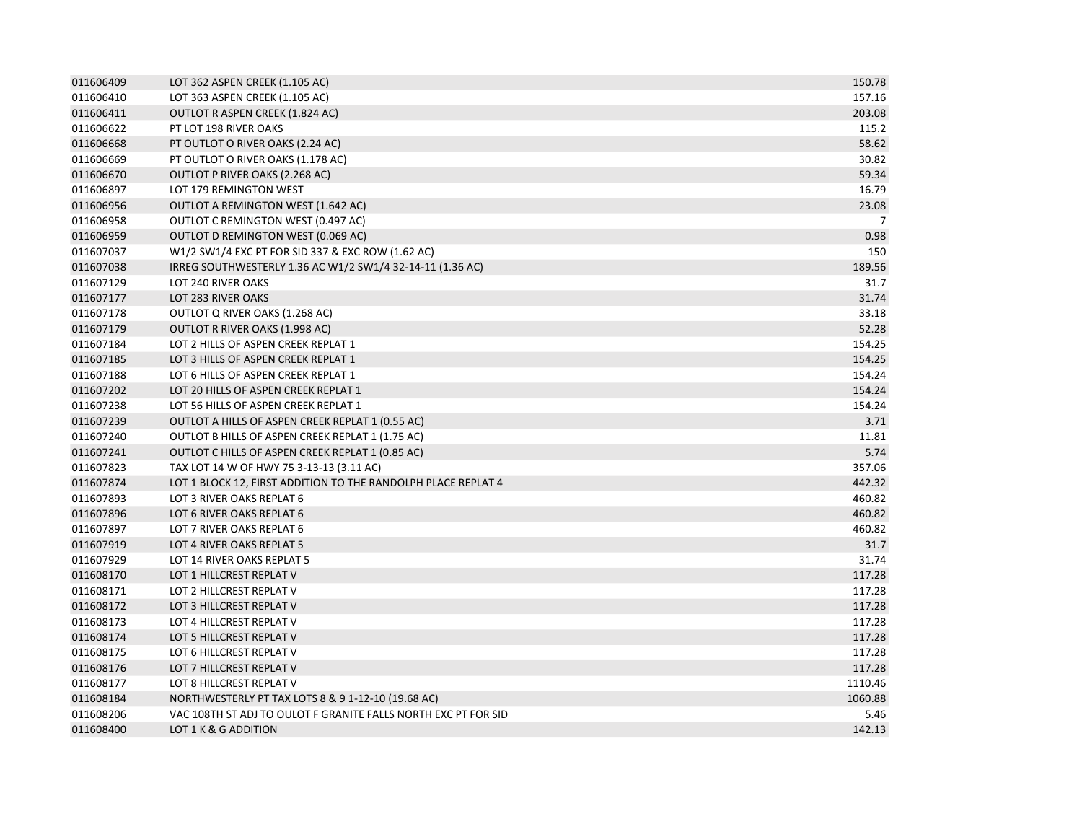| 011606409 | LOT 362 ASPEN CREEK (1.105 AC)                                 | 150.78         |
|-----------|----------------------------------------------------------------|----------------|
| 011606410 | LOT 363 ASPEN CREEK (1.105 AC)                                 | 157.16         |
| 011606411 | OUTLOT R ASPEN CREEK (1.824 AC)                                | 203.08         |
| 011606622 | PT LOT 198 RIVER OAKS                                          | 115.2          |
| 011606668 | PT OUTLOT O RIVER OAKS (2.24 AC)                               | 58.62          |
| 011606669 | PT OUTLOT O RIVER OAKS (1.178 AC)                              | 30.82          |
| 011606670 | OUTLOT P RIVER OAKS (2.268 AC)                                 | 59.34          |
| 011606897 | LOT 179 REMINGTON WEST                                         | 16.79          |
| 011606956 | <b>OUTLOT A REMINGTON WEST (1.642 AC)</b>                      | 23.08          |
| 011606958 | OUTLOT C REMINGTON WEST (0.497 AC)                             | $\overline{7}$ |
| 011606959 | OUTLOT D REMINGTON WEST (0.069 AC)                             | 0.98           |
| 011607037 | W1/2 SW1/4 EXC PT FOR SID 337 & EXC ROW (1.62 AC)              | 150            |
| 011607038 | IRREG SOUTHWESTERLY 1.36 AC W1/2 SW1/4 32-14-11 (1.36 AC)      | 189.56         |
| 011607129 | LOT 240 RIVER OAKS                                             | 31.7           |
| 011607177 | LOT 283 RIVER OAKS                                             | 31.74          |
| 011607178 | OUTLOT Q RIVER OAKS (1.268 AC)                                 | 33.18          |
| 011607179 | OUTLOT R RIVER OAKS (1.998 AC)                                 | 52.28          |
| 011607184 | LOT 2 HILLS OF ASPEN CREEK REPLAT 1                            | 154.25         |
| 011607185 | LOT 3 HILLS OF ASPEN CREEK REPLAT 1                            | 154.25         |
| 011607188 | LOT 6 HILLS OF ASPEN CREEK REPLAT 1                            | 154.24         |
| 011607202 | LOT 20 HILLS OF ASPEN CREEK REPLAT 1                           | 154.24         |
| 011607238 | LOT 56 HILLS OF ASPEN CREEK REPLAT 1                           | 154.24         |
| 011607239 | OUTLOT A HILLS OF ASPEN CREEK REPLAT 1 (0.55 AC)               | 3.71           |
| 011607240 | OUTLOT B HILLS OF ASPEN CREEK REPLAT 1 (1.75 AC)               | 11.81          |
| 011607241 | OUTLOT C HILLS OF ASPEN CREEK REPLAT 1 (0.85 AC)               | 5.74           |
| 011607823 | TAX LOT 14 W OF HWY 75 3-13-13 (3.11 AC)                       | 357.06         |
| 011607874 | LOT 1 BLOCK 12, FIRST ADDITION TO THE RANDOLPH PLACE REPLAT 4  | 442.32         |
| 011607893 | LOT 3 RIVER OAKS REPLAT 6                                      | 460.82         |
| 011607896 | LOT 6 RIVER OAKS REPLAT 6                                      | 460.82         |
| 011607897 | LOT 7 RIVER OAKS REPLAT 6                                      | 460.82         |
| 011607919 | LOT 4 RIVER OAKS REPLAT 5                                      | 31.7           |
| 011607929 | LOT 14 RIVER OAKS REPLAT 5                                     | 31.74          |
| 011608170 | LOT 1 HILLCREST REPLAT V                                       | 117.28         |
| 011608171 | LOT 2 HILLCREST REPLAT V                                       | 117.28         |
| 011608172 | LOT 3 HILLCREST REPLAT V                                       | 117.28         |
| 011608173 | LOT 4 HILLCREST REPLAT V                                       | 117.28         |
| 011608174 | LOT 5 HILLCREST REPLAT V                                       | 117.28         |
| 011608175 | LOT 6 HILLCREST REPLAT V                                       | 117.28         |
| 011608176 | LOT 7 HILLCREST REPLAT V                                       | 117.28         |
| 011608177 | LOT 8 HILLCREST REPLAT V                                       | 1110.46        |
| 011608184 | NORTHWESTERLY PT TAX LOTS 8 & 9 1-12-10 (19.68 AC)             | 1060.88        |
| 011608206 | VAC 108TH ST ADJ TO OULOT F GRANITE FALLS NORTH EXC PT FOR SID | 5.46           |
| 011608400 | LOT 1 K & G ADDITION                                           | 142.13         |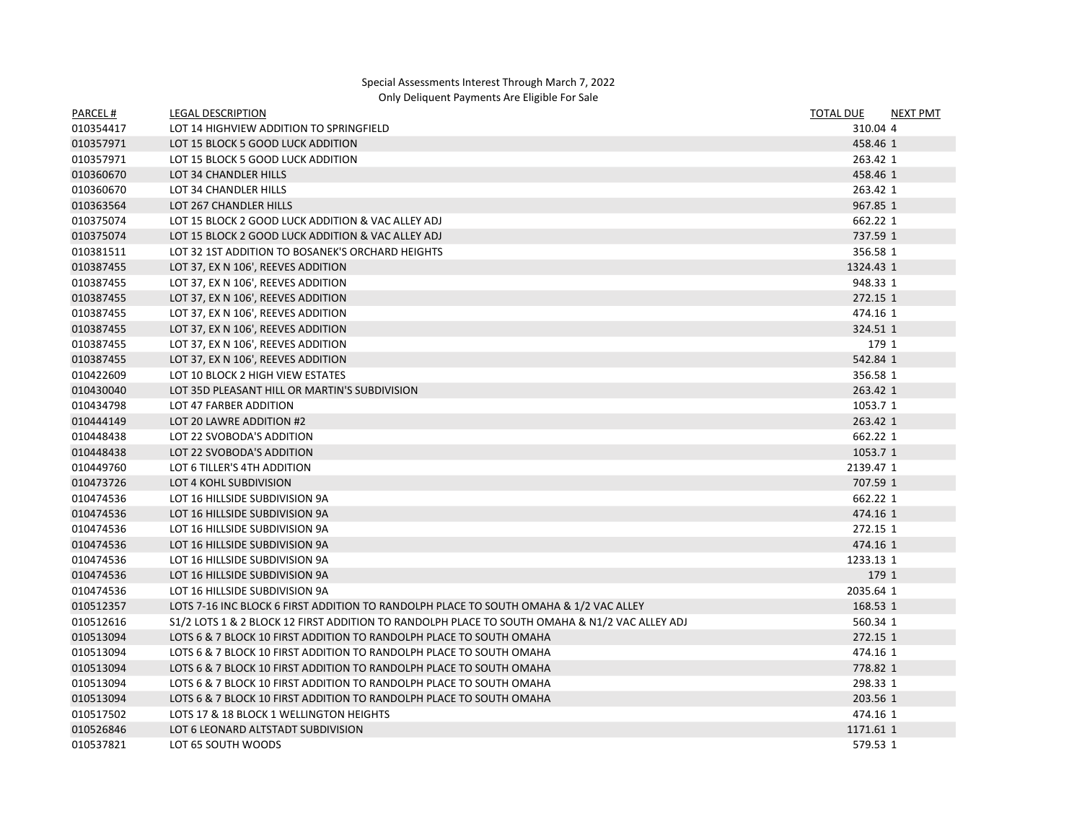## Special Assessments Interest Through March 7, 2022 Only Deliquent Payments Are Eligible For Sale

| PARCEL#   | <b>LEGAL DESCRIPTION</b>                                                                      | <b>TOTAL DUE</b> | <b>NEXT PMT</b> |
|-----------|-----------------------------------------------------------------------------------------------|------------------|-----------------|
| 010354417 | LOT 14 HIGHVIEW ADDITION TO SPRINGFIELD                                                       | 310.04 4         |                 |
| 010357971 | LOT 15 BLOCK 5 GOOD LUCK ADDITION                                                             | 458.46 1         |                 |
| 010357971 | LOT 15 BLOCK 5 GOOD LUCK ADDITION                                                             | 263.42 1         |                 |
| 010360670 | LOT 34 CHANDLER HILLS                                                                         | 458.46 1         |                 |
| 010360670 | LOT 34 CHANDLER HILLS                                                                         | 263.42 1         |                 |
| 010363564 | LOT 267 CHANDLER HILLS                                                                        | 967.85 1         |                 |
| 010375074 | LOT 15 BLOCK 2 GOOD LUCK ADDITION & VAC ALLEY ADJ                                             | 662.22 1         |                 |
| 010375074 | LOT 15 BLOCK 2 GOOD LUCK ADDITION & VAC ALLEY ADJ                                             | 737.59 1         |                 |
| 010381511 | LOT 32 1ST ADDITION TO BOSANEK'S ORCHARD HEIGHTS                                              | 356.58 1         |                 |
| 010387455 | LOT 37, EX N 106', REEVES ADDITION                                                            | 1324.43 1        |                 |
| 010387455 | LOT 37, EX N 106', REEVES ADDITION                                                            | 948.33 1         |                 |
| 010387455 | LOT 37, EX N 106', REEVES ADDITION                                                            | 272.15 1         |                 |
| 010387455 | LOT 37, EX N 106', REEVES ADDITION                                                            | 474.16 1         |                 |
| 010387455 | LOT 37, EX N 106', REEVES ADDITION                                                            | 324.51 1         |                 |
| 010387455 | LOT 37, EX N 106', REEVES ADDITION                                                            | 179 1            |                 |
| 010387455 | LOT 37, EX N 106', REEVES ADDITION                                                            | 542.84 1         |                 |
| 010422609 | LOT 10 BLOCK 2 HIGH VIEW ESTATES                                                              | 356.58 1         |                 |
| 010430040 | LOT 35D PLEASANT HILL OR MARTIN'S SUBDIVISION                                                 | 263.42 1         |                 |
| 010434798 | LOT 47 FARBER ADDITION                                                                        | 1053.7 1         |                 |
| 010444149 | LOT 20 LAWRE ADDITION #2                                                                      | 263.42 1         |                 |
| 010448438 | LOT 22 SVOBODA'S ADDITION                                                                     | 662.22 1         |                 |
| 010448438 | LOT 22 SVOBODA'S ADDITION                                                                     | 1053.7 1         |                 |
| 010449760 | LOT 6 TILLER'S 4TH ADDITION                                                                   | 2139.47 1        |                 |
| 010473726 | LOT 4 KOHL SUBDIVISION                                                                        | 707.59 1         |                 |
| 010474536 | LOT 16 HILLSIDE SUBDIVISION 9A                                                                | 662.22 1         |                 |
| 010474536 | LOT 16 HILLSIDE SUBDIVISION 9A                                                                | 474.16 1         |                 |
| 010474536 | LOT 16 HILLSIDE SUBDIVISION 9A                                                                | 272.15 1         |                 |
| 010474536 | LOT 16 HILLSIDE SUBDIVISION 9A                                                                | 474.16 1         |                 |
| 010474536 | LOT 16 HILLSIDE SUBDIVISION 9A                                                                | 1233.13 1        |                 |
| 010474536 | LOT 16 HILLSIDE SUBDIVISION 9A                                                                | 179 1            |                 |
| 010474536 | LOT 16 HILLSIDE SUBDIVISION 9A                                                                | 2035.64 1        |                 |
| 010512357 | LOTS 7-16 INC BLOCK 6 FIRST ADDITION TO RANDOLPH PLACE TO SOUTH OMAHA & 1/2 VAC ALLEY         | 168.53 1         |                 |
| 010512616 | S1/2 LOTS 1 & 2 BLOCK 12 FIRST ADDITION TO RANDOLPH PLACE TO SOUTH OMAHA & N1/2 VAC ALLEY ADJ | 560.34 1         |                 |
| 010513094 | LOTS 6 & 7 BLOCK 10 FIRST ADDITION TO RANDOLPH PLACE TO SOUTH OMAHA                           | 272.15 1         |                 |
| 010513094 | LOTS 6 & 7 BLOCK 10 FIRST ADDITION TO RANDOLPH PLACE TO SOUTH OMAHA                           | 474.16 1         |                 |
| 010513094 | LOTS 6 & 7 BLOCK 10 FIRST ADDITION TO RANDOLPH PLACE TO SOUTH OMAHA                           | 778.82 1         |                 |
| 010513094 | LOTS 6 & 7 BLOCK 10 FIRST ADDITION TO RANDOLPH PLACE TO SOUTH OMAHA                           | 298.33 1         |                 |
| 010513094 | LOTS 6 & 7 BLOCK 10 FIRST ADDITION TO RANDOLPH PLACE TO SOUTH OMAHA                           | 203.56 1         |                 |
| 010517502 | LOTS 17 & 18 BLOCK 1 WELLINGTON HEIGHTS                                                       | 474.16 1         |                 |
| 010526846 | LOT 6 LEONARD ALTSTADT SUBDIVISION                                                            | 1171.61 1        |                 |
| 010537821 | LOT 65 SOUTH WOODS                                                                            | 579.53 1         |                 |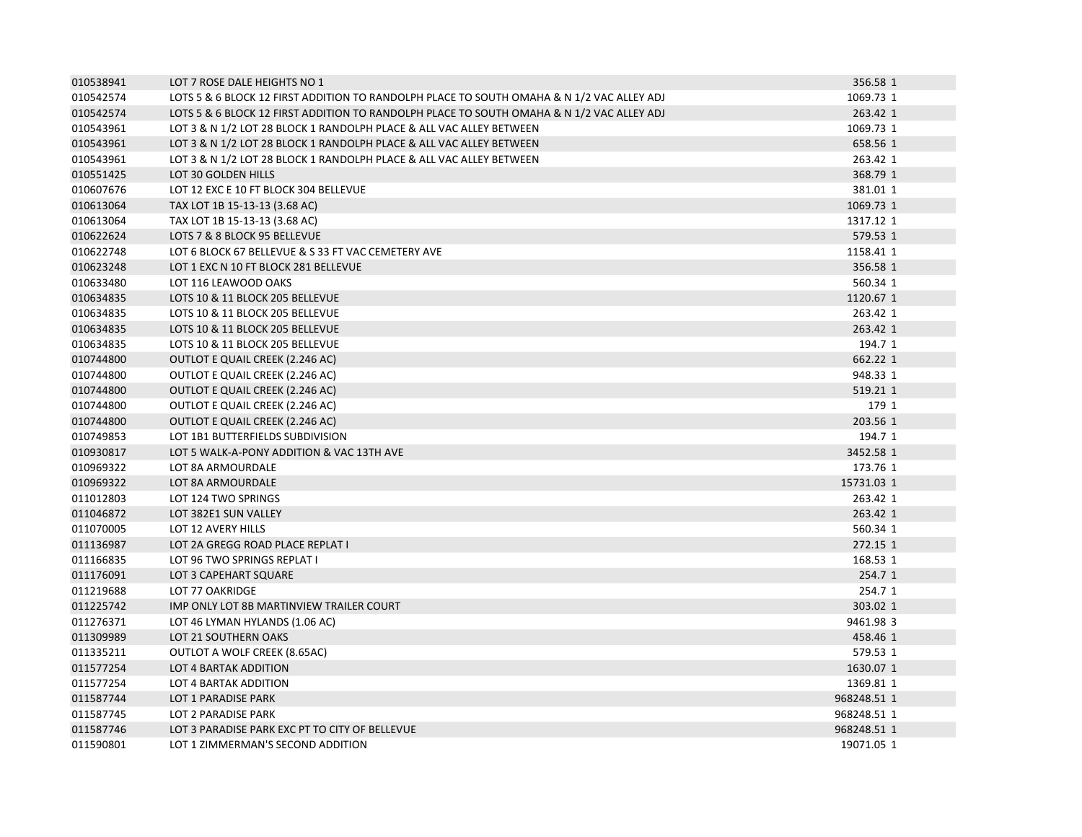| 010538941 | LOT 7 ROSE DALE HEIGHTS NO 1                                                              | 356.58 1    |
|-----------|-------------------------------------------------------------------------------------------|-------------|
| 010542574 | LOTS 5 & 6 BLOCK 12 FIRST ADDITION TO RANDOLPH PLACE TO SOUTH OMAHA & N 1/2 VAC ALLEY ADJ | 1069.73 1   |
| 010542574 | LOTS 5 & 6 BLOCK 12 FIRST ADDITION TO RANDOLPH PLACE TO SOUTH OMAHA & N 1/2 VAC ALLEY ADJ | 263.42 1    |
| 010543961 | LOT 3 & N 1/2 LOT 28 BLOCK 1 RANDOLPH PLACE & ALL VAC ALLEY BETWEEN                       | 1069.73 1   |
| 010543961 | LOT 3 & N 1/2 LOT 28 BLOCK 1 RANDOLPH PLACE & ALL VAC ALLEY BETWEEN                       | 658.56 1    |
| 010543961 | LOT 3 & N 1/2 LOT 28 BLOCK 1 RANDOLPH PLACE & ALL VAC ALLEY BETWEEN                       | 263.42 1    |
| 010551425 | LOT 30 GOLDEN HILLS                                                                       | 368.79 1    |
| 010607676 | LOT 12 EXC E 10 FT BLOCK 304 BELLEVUE                                                     | 381.01 1    |
| 010613064 | TAX LOT 1B 15-13-13 (3.68 AC)                                                             | 1069.73 1   |
| 010613064 | TAX LOT 1B 15-13-13 (3.68 AC)                                                             | 1317.12 1   |
| 010622624 | LOTS 7 & 8 BLOCK 95 BELLEVUE                                                              | 579.53 1    |
| 010622748 | LOT 6 BLOCK 67 BELLEVUE & S 33 FT VAC CEMETERY AVE                                        | 1158.41 1   |
| 010623248 | LOT 1 EXC N 10 FT BLOCK 281 BELLEVUE                                                      | 356.58 1    |
| 010633480 | LOT 116 LEAWOOD OAKS                                                                      | 560.34 1    |
| 010634835 | LOTS 10 & 11 BLOCK 205 BELLEVUE                                                           | 1120.67 1   |
| 010634835 | LOTS 10 & 11 BLOCK 205 BELLEVUE                                                           | 263.42 1    |
| 010634835 | LOTS 10 & 11 BLOCK 205 BELLEVUE                                                           | 263.42 1    |
| 010634835 | LOTS 10 & 11 BLOCK 205 BELLEVUE                                                           | 194.7 1     |
| 010744800 | OUTLOT E QUAIL CREEK (2.246 AC)                                                           | 662.22 1    |
| 010744800 | OUTLOT E QUAIL CREEK (2.246 AC)                                                           | 948.33 1    |
| 010744800 | OUTLOT E QUAIL CREEK (2.246 AC)                                                           | 519.21 1    |
| 010744800 | OUTLOT E QUAIL CREEK (2.246 AC)                                                           | 179 1       |
| 010744800 | OUTLOT E QUAIL CREEK (2.246 AC)                                                           | 203.56 1    |
| 010749853 | LOT 1B1 BUTTERFIELDS SUBDIVISION                                                          | 194.7 1     |
| 010930817 | LOT 5 WALK-A-PONY ADDITION & VAC 13TH AVE                                                 | 3452.58 1   |
| 010969322 | LOT 8A ARMOURDALE                                                                         | 173.76 1    |
| 010969322 | LOT 8A ARMOURDALE                                                                         | 15731.03 1  |
| 011012803 | LOT 124 TWO SPRINGS                                                                       | 263.42 1    |
| 011046872 | LOT 382E1 SUN VALLEY                                                                      | 263.42 1    |
| 011070005 | LOT 12 AVERY HILLS                                                                        | 560.34 1    |
| 011136987 | LOT 2A GREGG ROAD PLACE REPLAT I                                                          | 272.15 1    |
| 011166835 | LOT 96 TWO SPRINGS REPLAT I                                                               | 168.53 1    |
| 011176091 | LOT 3 CAPEHART SQUARE                                                                     | 254.7 1     |
| 011219688 | LOT 77 OAKRIDGE                                                                           | 254.7 1     |
| 011225742 | IMP ONLY LOT 8B MARTINVIEW TRAILER COURT                                                  | 303.02 1    |
| 011276371 | LOT 46 LYMAN HYLANDS (1.06 AC)                                                            | 9461.98 3   |
| 011309989 | LOT 21 SOUTHERN OAKS                                                                      | 458.46 1    |
| 011335211 | OUTLOT A WOLF CREEK (8.65AC)                                                              | 579.53 1    |
| 011577254 | LOT 4 BARTAK ADDITION                                                                     | 1630.07 1   |
| 011577254 | LOT 4 BARTAK ADDITION                                                                     | 1369.81 1   |
| 011587744 | LOT 1 PARADISE PARK                                                                       | 968248.51 1 |
| 011587745 | LOT 2 PARADISE PARK                                                                       | 968248.51 1 |
| 011587746 | LOT 3 PARADISE PARK EXC PT TO CITY OF BELLEVUE                                            | 968248.51 1 |
| 011590801 | LOT 1 ZIMMERMAN'S SECOND ADDITION                                                         | 19071.05 1  |